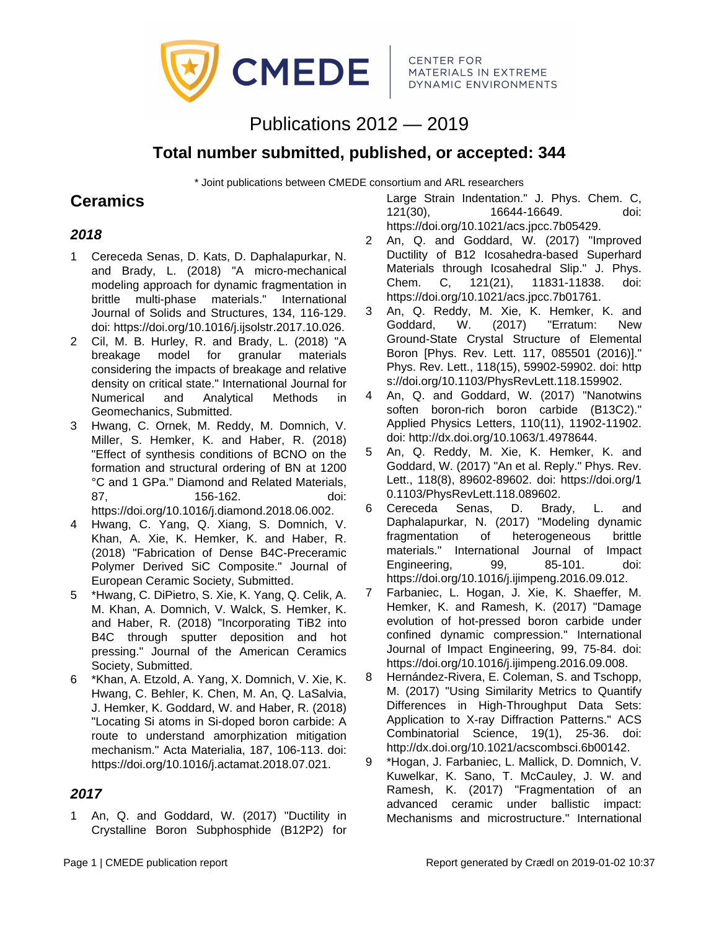

# Publications 2012 — 2019

## **Total number submitted, published, or accepted: 344**

\* Joint publications between CMEDE consortium and ARL researchers

## **Ceramics**

### **2018**

- 1 Cereceda Senas, D. Kats, D. Daphalapurkar, N. and Brady, L. (2018) "A micro-mechanical modeling approach for dynamic fragmentation in brittle multi-phase materials." International Journal of Solids and Structures, 134, 116-129. doi: https://doi.org/10.1016/j.ijsolstr.2017.10.026.
- 2 Cil, M. B. Hurley, R. and Brady, L. (2018) "A breakage model for granular materials considering the impacts of breakage and relative density on critical state." International Journal for Numerical and Analytical Methods in Geomechanics, Submitted.
- 3 Hwang, C. Ornek, M. Reddy, M. Domnich, V. Miller, S. Hemker, K. and Haber, R. (2018) "Effect of synthesis conditions of BCNO on the formation and structural ordering of BN at 1200 °C and 1 GPa." Diamond and Related Materials, 87, 156-162. doi: https://doi.org/10.1016/j.diamond.2018.06.002.
- 4 Hwang, C. Yang, Q. Xiang, S. Domnich, V. Khan, A. Xie, K. Hemker, K. and Haber, R. (2018) "Fabrication of Dense B4C-Preceramic Polymer Derived SiC Composite." Journal of European Ceramic Society, Submitted.
- 5 \*Hwang, C. DiPietro, S. Xie, K. Yang, Q. Celik, A. M. Khan, A. Domnich, V. Walck, S. Hemker, K. and Haber, R. (2018) "Incorporating TiB2 into B4C through sputter deposition and hot pressing." Journal of the American Ceramics Society, Submitted.
- 6 \*Khan, A. Etzold, A. Yang, X. Domnich, V. Xie, K. Hwang, C. Behler, K. Chen, M. An, Q. LaSalvia, J. Hemker, K. Goddard, W. and Haber, R. (2018) "Locating Si atoms in Si-doped boron carbide: A route to understand amorphization mitigation mechanism." Acta Materialia, 187, 106-113. doi: https://doi.org/10.1016/j.actamat.2018.07.021.

#### **2017**

1 An, Q. and Goddard, W. (2017) "Ductility in Crystalline Boron Subphosphide (B12P2) for Large Strain Indentation." J. Phys. Chem. C, 121(30), 16644-16649. doi: https://doi.org/10.1021/acs.jpcc.7b05429.

- 2 An, Q. and Goddard, W. (2017) "Improved Ductility of B12 Icosahedra-based Superhard Materials through Icosahedral Slip." J. Phys. Chem. C, 121(21), 11831-11838. doi: https://doi.org/10.1021/acs.jpcc.7b01761.
- 3 An, Q. Reddy, M. Xie, K. Hemker, K. and Goddard, W. (2017) "Erratum: New Ground-State Crystal Structure of Elemental Boron [Phys. Rev. Lett. 117, 085501 (2016)]." Phys. Rev. Lett., 118(15), 59902-59902. doi: http s://doi.org/10.1103/PhysRevLett.118.159902.
- 4 An, Q. and Goddard, W. (2017) "Nanotwins soften boron-rich boron carbide (B13C2)." Applied Physics Letters, 110(11), 11902-11902. doi: http://dx.doi.org/10.1063/1.4978644.
- 5 An, Q. Reddy, M. Xie, K. Hemker, K. and Goddard, W. (2017) "An et al. Reply." Phys. Rev. Lett., 118(8), 89602-89602. doi: https://doi.org/1 0.1103/PhysRevLett.118.089602.
- 6 Cereceda Senas, D. Brady, L. and Daphalapurkar, N. (2017) "Modeling dynamic fragmentation of heterogeneous brittle materials." International Journal of Impact Engineering, 99, 85-101. doi: https://doi.org/10.1016/j.ijimpeng.2016.09.012.
- 7 Farbaniec, L. Hogan, J. Xie, K. Shaeffer, M. Hemker, K. and Ramesh, K. (2017) "Damage evolution of hot-pressed boron carbide under confined dynamic compression." International Journal of Impact Engineering, 99, 75-84. doi: https://doi.org/10.1016/j.ijimpeng.2016.09.008.
- 8 Hernández-Rivera, E. Coleman, S. and Tschopp, M. (2017) "Using Similarity Metrics to Quantify Differences in High-Throughput Data Sets: Application to X-ray Diffraction Patterns." ACS Combinatorial Science, 19(1), 25-36. doi: http://dx.doi.org/10.1021/acscombsci.6b00142.
- 9 \*Hogan, J. Farbaniec, L. Mallick, D. Domnich, V. Kuwelkar, K. Sano, T. McCauley, J. W. and Ramesh, K. (2017) "Fragmentation of an advanced ceramic under ballistic impact: Mechanisms and microstructure." International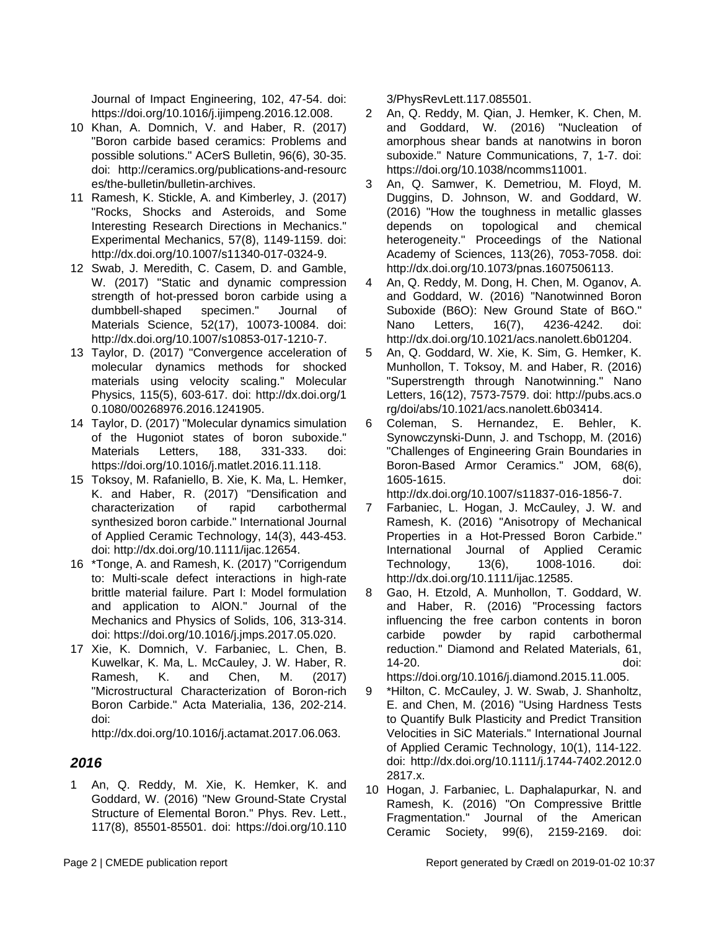Journal of Impact Engineering, 102, 47-54. doi: https://doi.org/10.1016/j.ijimpeng.2016.12.008.

- 10 Khan, A. Domnich, V. and Haber, R. (2017) "Boron carbide based ceramics: Problems and possible solutions." ACerS Bulletin, 96(6), 30-35. doi: http://ceramics.org/publications-and-resourc es/the-bulletin/bulletin-archives.
- 11 Ramesh, K. Stickle, A. and Kimberley, J. (2017) "Rocks, Shocks and Asteroids, and Some Interesting Research Directions in Mechanics." Experimental Mechanics, 57(8), 1149-1159. doi: http://dx.doi.org/10.1007/s11340-017-0324-9.
- 12 Swab, J. Meredith, C. Casem, D. and Gamble, W. (2017) "Static and dynamic compression strength of hot-pressed boron carbide using a dumbbell-shaped specimen." Journal of Materials Science, 52(17), 10073-10084. doi: http://dx.doi.org/10.1007/s10853-017-1210-7.
- 13 Taylor, D. (2017) "Convergence acceleration of molecular dynamics methods for shocked materials using velocity scaling." Molecular Physics, 115(5), 603-617. doi: http://dx.doi.org/1 0.1080/00268976.2016.1241905.
- 14 Taylor, D. (2017) "Molecular dynamics simulation of the Hugoniot states of boron suboxide." Materials Letters, 188, 331-333. doi: https://doi.org/10.1016/j.matlet.2016.11.118.
- 15 Toksoy, M. Rafaniello, B. Xie, K. Ma, L. Hemker, K. and Haber, R. (2017) "Densification and characterization of rapid carbothermal synthesized boron carbide." International Journal of Applied Ceramic Technology, 14(3), 443-453. doi: http://dx.doi.org/10.1111/ijac.12654.
- 16 \*Tonge, A. and Ramesh, K. (2017) "Corrigendum to: Multi-scale defect interactions in high-rate brittle material failure. Part I: Model formulation and application to AlON." Journal of the Mechanics and Physics of Solids, 106, 313-314. doi: https://doi.org/10.1016/j.jmps.2017.05.020.
- 17 Xie, K. Domnich, V. Farbaniec, L. Chen, B. Kuwelkar, K. Ma, L. McCauley, J. W. Haber, R. Ramesh, K. and Chen, M. (2017) "Microstructural Characterization of Boron-rich Boron Carbide." Acta Materialia, 136, 202-214. doi:

http://dx.doi.org/10.1016/j.actamat.2017.06.063.

#### **2016**

1 An, Q. Reddy, M. Xie, K. Hemker, K. and Goddard, W. (2016) "New Ground-State Crystal Structure of Elemental Boron." Phys. Rev. Lett., 117(8), 85501-85501. doi: https://doi.org/10.110 3/PhysRevLett.117.085501.

- 2 An, Q. Reddy, M. Qian, J. Hemker, K. Chen, M. and Goddard, W. (2016) "Nucleation of amorphous shear bands at nanotwins in boron suboxide." Nature Communications, 7, 1-7. doi: https://doi.org/10.1038/ncomms11001.
- 3 An, Q. Samwer, K. Demetriou, M. Floyd, M. Duggins, D. Johnson, W. and Goddard, W. (2016) "How the toughness in metallic glasses depends on topological and chemical heterogeneity." Proceedings of the National Academy of Sciences, 113(26), 7053-7058. doi: http://dx.doi.org/10.1073/pnas.1607506113.
- 4 An, Q. Reddy, M. Dong, H. Chen, M. Oganov, A. and Goddard, W. (2016) "Nanotwinned Boron Suboxide (B6O): New Ground State of B6O." Nano Letters, 16(7), 4236-4242. doi: http://dx.doi.org/10.1021/acs.nanolett.6b01204.
- 5 An, Q. Goddard, W. Xie, K. Sim, G. Hemker, K. Munhollon, T. Toksoy, M. and Haber, R. (2016) "Superstrength through Nanotwinning." Nano Letters, 16(12), 7573-7579. doi: http://pubs.acs.o rg/doi/abs/10.1021/acs.nanolett.6b03414.
- 6 Coleman, S. Hernandez, E. Behler, K. Synowczynski-Dunn, J. and Tschopp, M. (2016) "Challenges of Engineering Grain Boundaries in Boron-Based Armor Ceramics." JOM, 68(6), 1605-1615. doi: http://dx.doi.org/10.1007/s11837-016-1856-7.
- 7 Farbaniec, L. Hogan, J. McCauley, J. W. and Ramesh, K. (2016) "Anisotropy of Mechanical Properties in a Hot-Pressed Boron Carbide." International Journal of Applied Ceramic Technology, 13(6), 1008-1016. doi: http://dx.doi.org/10.1111/ijac.12585.
- 8 Gao, H. Etzold, A. Munhollon, T. Goddard, W. and Haber, R. (2016) "Processing factors influencing the free carbon contents in boron carbide powder by rapid carbothermal reduction." Diamond and Related Materials, 61, 14-20. doi:

https://doi.org/10.1016/j.diamond.2015.11.005.

- 9 \*Hilton, C. McCauley, J. W. Swab, J. Shanholtz, E. and Chen, M. (2016) "Using Hardness Tests to Quantify Bulk Plasticity and Predict Transition Velocities in SiC Materials." International Journal of Applied Ceramic Technology, 10(1), 114-122. doi: http://dx.doi.org/10.1111/j.1744-7402.2012.0 2817.x.
- 10 Hogan, J. Farbaniec, L. Daphalapurkar, N. and Ramesh, K. (2016) "On Compressive Brittle Fragmentation." Journal of the American Ceramic Society, 99(6), 2159-2169. doi: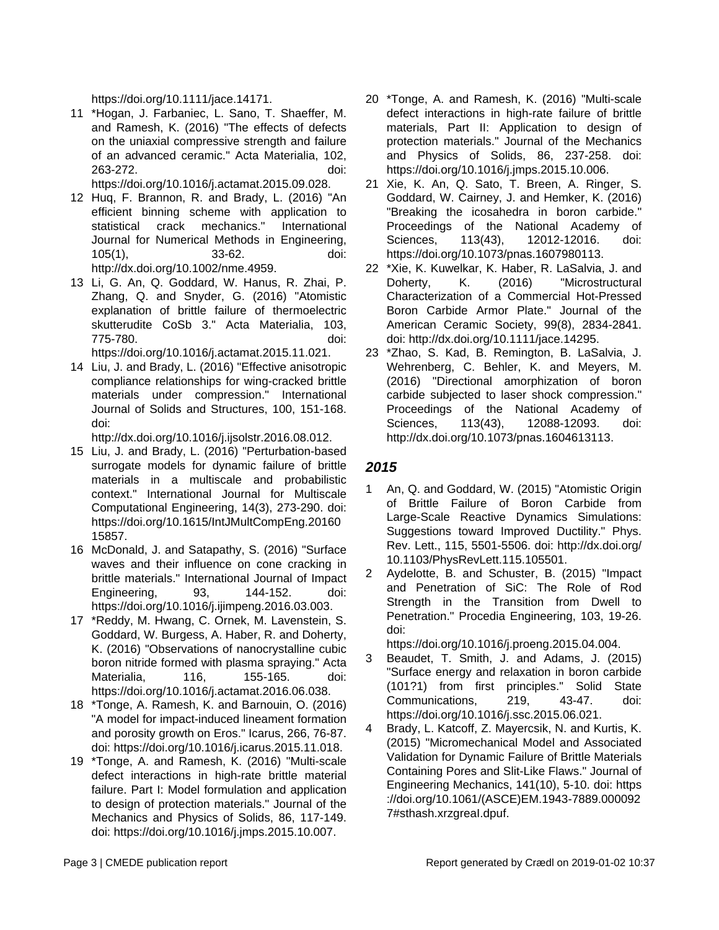https://doi.org/10.1111/jace.14171.

11 \*Hogan, J. Farbaniec, L. Sano, T. Shaeffer, M. and Ramesh, K. (2016) "The effects of defects on the uniaxial compressive strength and failure of an advanced ceramic." Acta Materialia, 102, 263-272. doi:

https://doi.org/10.1016/j.actamat.2015.09.028.

12 Huq, F. Brannon, R. and Brady, L. (2016) "An efficient binning scheme with application to statistical crack mechanics." International Journal for Numerical Methods in Engineering, 105(1), 33-62. doi:

http://dx.doi.org/10.1002/nme.4959.

13 Li, G. An, Q. Goddard, W. Hanus, R. Zhai, P. Zhang, Q. and Snyder, G. (2016) "Atomistic explanation of brittle failure of thermoelectric skutterudite CoSb 3." Acta Materialia, 103, 775-780. doi:

https://doi.org/10.1016/j.actamat.2015.11.021.

14 Liu, J. and Brady, L. (2016) "Effective anisotropic compliance relationships for wing-cracked brittle materials under compression." International Journal of Solids and Structures, 100, 151-168. doi:

http://dx.doi.org/10.1016/j.ijsolstr.2016.08.012.

- 15 Liu, J. and Brady, L. (2016) "Perturbation-based surrogate models for dynamic failure of brittle materials in a multiscale and probabilistic context." International Journal for Multiscale Computational Engineering, 14(3), 273-290. doi: https://doi.org/10.1615/IntJMultCompEng.20160 15857.
- 16 McDonald, J. and Satapathy, S. (2016) "Surface waves and their influence on cone cracking in brittle materials." International Journal of Impact Engineering, 93, 144-152. doi: https://doi.org/10.1016/j.ijimpeng.2016.03.003.
- 17 \*Reddy, M. Hwang, C. Ornek, M. Lavenstein, S. Goddard, W. Burgess, A. Haber, R. and Doherty, K. (2016) "Observations of nanocrystalline cubic boron nitride formed with plasma spraying." Acta Materialia, 116, 155-165. doi: https://doi.org/10.1016/j.actamat.2016.06.038.
- 18 \*Tonge, A. Ramesh, K. and Barnouin, O. (2016) "A model for impact-induced lineament formation and porosity growth on Eros." Icarus, 266, 76-87. doi: https://doi.org/10.1016/j.icarus.2015.11.018.
- 19 \*Tonge, A. and Ramesh, K. (2016) "Multi-scale defect interactions in high-rate brittle material failure. Part I: Model formulation and application to design of protection materials." Journal of the Mechanics and Physics of Solids, 86, 117-149. doi: https://doi.org/10.1016/j.jmps.2015.10.007.
- 20 \*Tonge, A. and Ramesh, K. (2016) "Multi-scale defect interactions in high-rate failure of brittle materials, Part II: Application to design of protection materials." Journal of the Mechanics and Physics of Solids, 86, 237-258. doi: https://doi.org/10.1016/j.jmps.2015.10.006.
- 21 Xie, K. An, Q. Sato, T. Breen, A. Ringer, S. Goddard, W. Cairney, J. and Hemker, K. (2016) "Breaking the icosahedra in boron carbide." Proceedings of the National Academy of Sciences, 113(43), 12012-12016. doi: https://doi.org/10.1073/pnas.1607980113.
- 22 \*Xie, K. Kuwelkar, K. Haber, R. LaSalvia, J. and Doherty, K. (2016) "Microstructural Characterization of a Commercial Hot-Pressed Boron Carbide Armor Plate." Journal of the American Ceramic Society, 99(8), 2834-2841. doi: http://dx.doi.org/10.1111/jace.14295.
- 23 \*Zhao, S. Kad, B. Remington, B. LaSalvia, J. Wehrenberg, C. Behler, K. and Meyers, M. (2016) "Directional amorphization of boron carbide subjected to laser shock compression." Proceedings of the National Academy of Sciences, 113(43), 12088-12093. doi: http://dx.doi.org/10.1073/pnas.1604613113.

#### **2015**

- 1 An, Q. and Goddard, W. (2015) "Atomistic Origin of Brittle Failure of Boron Carbide from Large-Scale Reactive Dynamics Simulations: Suggestions toward Improved Ductility." Phys. Rev. Lett., 115, 5501-5506. doi: http://dx.doi.org/ 10.1103/PhysRevLett.115.105501.
- 2 Aydelotte, B. and Schuster, B. (2015) "Impact and Penetration of SiC: The Role of Rod Strength in the Transition from Dwell to Penetration." Procedia Engineering, 103, 19-26. doi:

https://doi.org/10.1016/j.proeng.2015.04.004.

- 3 Beaudet, T. Smith, J. and Adams, J. (2015) "Surface energy and relaxation in boron carbide (101?1) from first principles." Solid State Communications, 219, 43-47. doi: https://doi.org/10.1016/j.ssc.2015.06.021.
- Brady, L. Katcoff, Z. Mayercsik, N. and Kurtis, K. (2015) "Micromechanical Model and Associated Validation for Dynamic Failure of Brittle Materials Containing Pores and Slit-Like Flaws." Journal of Engineering Mechanics, 141(10), 5-10. doi: https ://doi.org/10.1061/(ASCE)EM.1943-7889.000092 7#sthash.xrzgreaI.dpuf.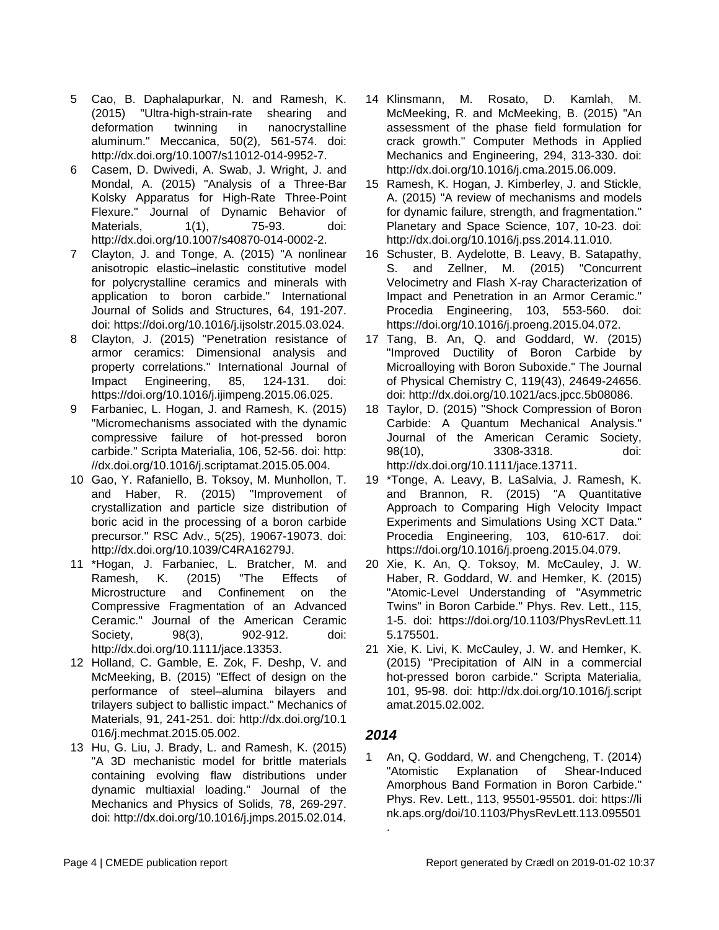- 5 Cao, B. Daphalapurkar, N. and Ramesh, K. (2015) "Ultra-high-strain-rate shearing and deformation twinning in nanocrystalline aluminum." Meccanica, 50(2), 561-574. doi: http://dx.doi.org/10.1007/s11012-014-9952-7.
- 6 Casem, D. Dwivedi, A. Swab, J. Wright, J. and Mondal, A. (2015) "Analysis of a Three-Bar Kolsky Apparatus for High-Rate Three-Point Flexure." Journal of Dynamic Behavior of Materials, 1(1), 75-93. doi: http://dx.doi.org/10.1007/s40870-014-0002-2.
- 7 Clayton, J. and Tonge, A. (2015) "A nonlinear anisotropic elastic–inelastic constitutive model for polycrystalline ceramics and minerals with application to boron carbide." International Journal of Solids and Structures, 64, 191-207. doi: https://doi.org/10.1016/j.ijsolstr.2015.03.024.
- 8 Clayton, J. (2015) "Penetration resistance of armor ceramics: Dimensional analysis and property correlations." International Journal of Impact Engineering, 85, 124-131. doi: https://doi.org/10.1016/j.ijimpeng.2015.06.025.
- 9 Farbaniec, L. Hogan, J. and Ramesh, K. (2015) "Micromechanisms associated with the dynamic compressive failure of hot-pressed boron carbide." Scripta Materialia, 106, 52-56. doi: http: //dx.doi.org/10.1016/j.scriptamat.2015.05.004.
- 10 Gao, Y. Rafaniello, B. Toksoy, M. Munhollon, T. and Haber, R. (2015) "Improvement of crystallization and particle size distribution of boric acid in the processing of a boron carbide precursor." RSC Adv., 5(25), 19067-19073. doi: http://dx.doi.org/10.1039/C4RA16279J.
- 11 \*Hogan, J. Farbaniec, L. Bratcher, M. and Ramesh, K. (2015) "The Effects of Microstructure and Confinement on the Compressive Fragmentation of an Advanced Ceramic." Journal of the American Ceramic Society, 98(3), 902-912. doi: http://dx.doi.org/10.1111/jace.13353.
- 12 Holland, C. Gamble, E. Zok, F. Deshp, V. and McMeeking, B. (2015) "Effect of design on the performance of steel–alumina bilayers and trilayers subject to ballistic impact." Mechanics of Materials, 91, 241-251. doi: http://dx.doi.org/10.1 016/j.mechmat.2015.05.002.
- 13 Hu, G. Liu, J. Brady, L. and Ramesh, K. (2015) "A 3D mechanistic model for brittle materials containing evolving flaw distributions under dynamic multiaxial loading." Journal of the Mechanics and Physics of Solids, 78, 269-297. doi: http://dx.doi.org/10.1016/j.jmps.2015.02.014.
- 14 Klinsmann, M. Rosato, D. Kamlah, M. McMeeking, R. and McMeeking, B. (2015) "An assessment of the phase field formulation for crack growth." Computer Methods in Applied Mechanics and Engineering, 294, 313-330. doi: http://dx.doi.org/10.1016/j.cma.2015.06.009.
- 15 Ramesh, K. Hogan, J. Kimberley, J. and Stickle, A. (2015) "A review of mechanisms and models for dynamic failure, strength, and fragmentation." Planetary and Space Science, 107, 10-23. doi: http://dx.doi.org/10.1016/j.pss.2014.11.010.
- 16 Schuster, B. Aydelotte, B. Leavy, B. Satapathy, S. and Zellner, M. (2015) "Concurrent Velocimetry and Flash X-ray Characterization of Impact and Penetration in an Armor Ceramic." Procedia Engineering, 103, 553-560. doi: https://doi.org/10.1016/j.proeng.2015.04.072.
- 17 Tang, B. An, Q. and Goddard, W. (2015) "Improved Ductility of Boron Carbide by Microalloying with Boron Suboxide." The Journal of Physical Chemistry C, 119(43), 24649-24656. doi: http://dx.doi.org/10.1021/acs.jpcc.5b08086.
- 18 Taylor, D. (2015) "Shock Compression of Boron Carbide: A Quantum Mechanical Analysis." Journal of the American Ceramic Society, 98(10), 3308-3318. doi: http://dx.doi.org/10.1111/jace.13711.
- 19 \*Tonge, A. Leavy, B. LaSalvia, J. Ramesh, K. and Brannon, R. (2015) "A Quantitative Approach to Comparing High Velocity Impact Experiments and Simulations Using XCT Data." Procedia Engineering, 103, 610-617. doi: https://doi.org/10.1016/j.proeng.2015.04.079.
- 20 Xie, K. An, Q. Toksoy, M. McCauley, J. W. Haber, R. Goddard, W. and Hemker, K. (2015) "Atomic-Level Understanding of "Asymmetric Twins" in Boron Carbide." Phys. Rev. Lett., 115, 1-5. doi: https://doi.org/10.1103/PhysRevLett.11 5.175501.
- 21 Xie, K. Livi, K. McCauley, J. W. and Hemker, K. (2015) "Precipitation of AlN in a commercial hot-pressed boron carbide." Scripta Materialia, 101, 95-98. doi: http://dx.doi.org/10.1016/j.script amat.2015.02.002.

#### **2014**

.

1 An, Q. Goddard, W. and Chengcheng, T. (2014) "Atomistic Explanation of Shear-Induced Amorphous Band Formation in Boron Carbide." Phys. Rev. Lett., 113, 95501-95501. doi: https://li nk.aps.org/doi/10.1103/PhysRevLett.113.095501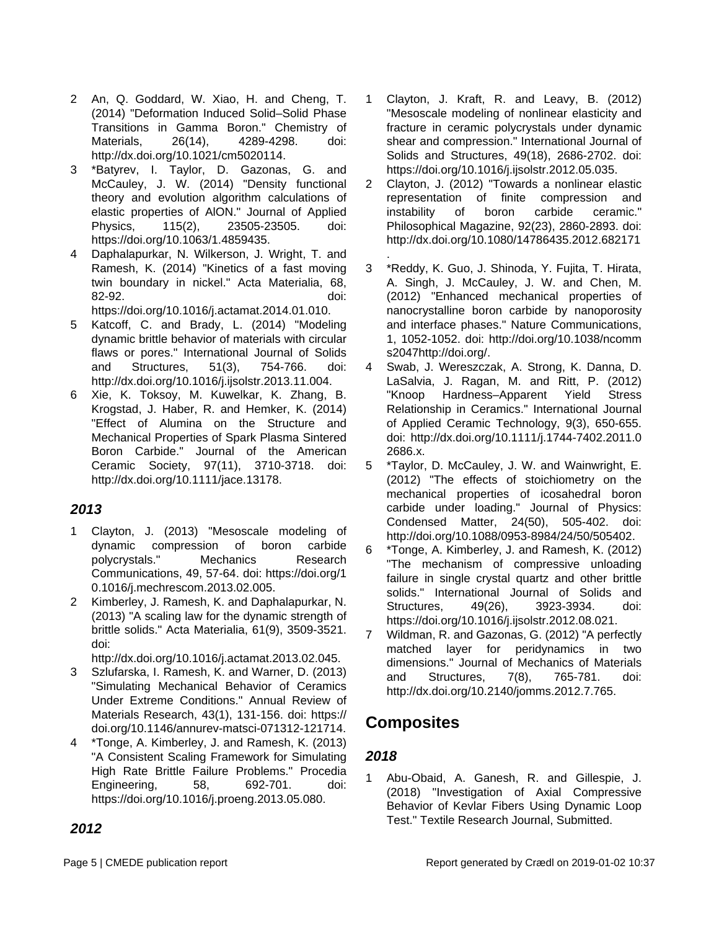- 2 An, Q. Goddard, W. Xiao, H. and Cheng, T. (2014) "Deformation Induced Solid–Solid Phase Transitions in Gamma Boron." Chemistry of Materials, 26(14), 4289-4298. doi: http://dx.doi.org/10.1021/cm5020114.
- 3 \*Batyrev, I. Taylor, D. Gazonas, G. and McCauley, J. W. (2014) "Density functional theory and evolution algorithm calculations of elastic properties of AlON." Journal of Applied Physics, 115(2), 23505-23505. doi: https://doi.org/10.1063/1.4859435.
- 4 Daphalapurkar, N. Wilkerson, J. Wright, T. and Ramesh, K. (2014) "Kinetics of a fast moving twin boundary in nickel." Acta Materialia, 68, 82-92. doi:

https://doi.org/10.1016/j.actamat.2014.01.010.

- 5 Katcoff, C. and Brady, L. (2014) "Modeling dynamic brittle behavior of materials with circular flaws or pores." International Journal of Solids and Structures, 51(3), 754-766. doi: http://dx.doi.org/10.1016/j.ijsolstr.2013.11.004.
- 6 Xie, K. Toksoy, M. Kuwelkar, K. Zhang, B. Krogstad, J. Haber, R. and Hemker, K. (2014) "Effect of Alumina on the Structure and Mechanical Properties of Spark Plasma Sintered Boron Carbide." Journal of the American Ceramic Society, 97(11), 3710-3718. doi: http://dx.doi.org/10.1111/jace.13178.

#### **2013**

- 1 Clayton, J. (2013) "Mesoscale modeling of dynamic compression of boron carbide polycrystals." Mechanics Research Communications, 49, 57-64. doi: https://doi.org/1 0.1016/j.mechrescom.2013.02.005.
- 2 Kimberley, J. Ramesh, K. and Daphalapurkar, N. (2013) "A scaling law for the dynamic strength of brittle solids." Acta Materialia, 61(9), 3509-3521. doi:

http://dx.doi.org/10.1016/j.actamat.2013.02.045.

- 3 Szlufarska, I. Ramesh, K. and Warner, D. (2013) "Simulating Mechanical Behavior of Ceramics Under Extreme Conditions." Annual Review of Materials Research, 43(1), 131-156. doi: https:// doi.org/10.1146/annurev-matsci-071312-121714.
- 4 \*Tonge, A. Kimberley, J. and Ramesh, K. (2013) "A Consistent Scaling Framework for Simulating High Rate Brittle Failure Problems." Procedia Engineering, 58, 692-701. doi: https://doi.org/10.1016/j.proeng.2013.05.080.
- 1 Clayton, J. Kraft, R. and Leavy, B. (2012) "Mesoscale modeling of nonlinear elasticity and fracture in ceramic polycrystals under dynamic shear and compression." International Journal of Solids and Structures, 49(18), 2686-2702. doi: https://doi.org/10.1016/j.ijsolstr.2012.05.035.
- 2 Clayton, J. (2012) "Towards a nonlinear elastic representation of finite compression and instability of boron carbide ceramic." Philosophical Magazine, 92(23), 2860-2893. doi: http://dx.doi.org/10.1080/14786435.2012.682171
- . 3 \*Reddy, K. Guo, J. Shinoda, Y. Fujita, T. Hirata, A. Singh, J. McCauley, J. W. and Chen, M. (2012) "Enhanced mechanical properties of nanocrystalline boron carbide by nanoporosity and interface phases." Nature Communications, 1, 1052-1052. doi: http://doi.org/10.1038/ncomm s2047http://doi.org/.
- 4 Swab, J. Wereszczak, A. Strong, K. Danna, D. LaSalvia, J. Ragan, M. and Ritt, P. (2012) "Knoop Hardness–Apparent Yield Stress Relationship in Ceramics." International Journal of Applied Ceramic Technology, 9(3), 650-655. doi: http://dx.doi.org/10.1111/j.1744-7402.2011.0 2686.x.
- 5 \*Taylor, D. McCauley, J. W. and Wainwright, E. (2012) "The effects of stoichiometry on the mechanical properties of icosahedral boron carbide under loading." Journal of Physics: Condensed Matter, 24(50), 505-402. doi: http://doi.org/10.1088/0953-8984/24/50/505402.
- 6 \*Tonge, A. Kimberley, J. and Ramesh, K. (2012) "The mechanism of compressive unloading failure in single crystal quartz and other brittle solids." International Journal of Solids and Structures, 49(26), 3923-3934. doi: https://doi.org/10.1016/j.ijsolstr.2012.08.021.
- 7 Wildman, R. and Gazonas, G. (2012) "A perfectly matched layer for peridynamics in two dimensions." Journal of Mechanics of Materials and Structures, 7(8), 765-781. doi: http://dx.doi.org/10.2140/jomms.2012.7.765.

# **Composites**

### **2018**

1 Abu-Obaid, A. Ganesh, R. and Gillespie, J. (2018) "Investigation of Axial Compressive Behavior of Kevlar Fibers Using Dynamic Loop Test." Textile Research Journal, Submitted.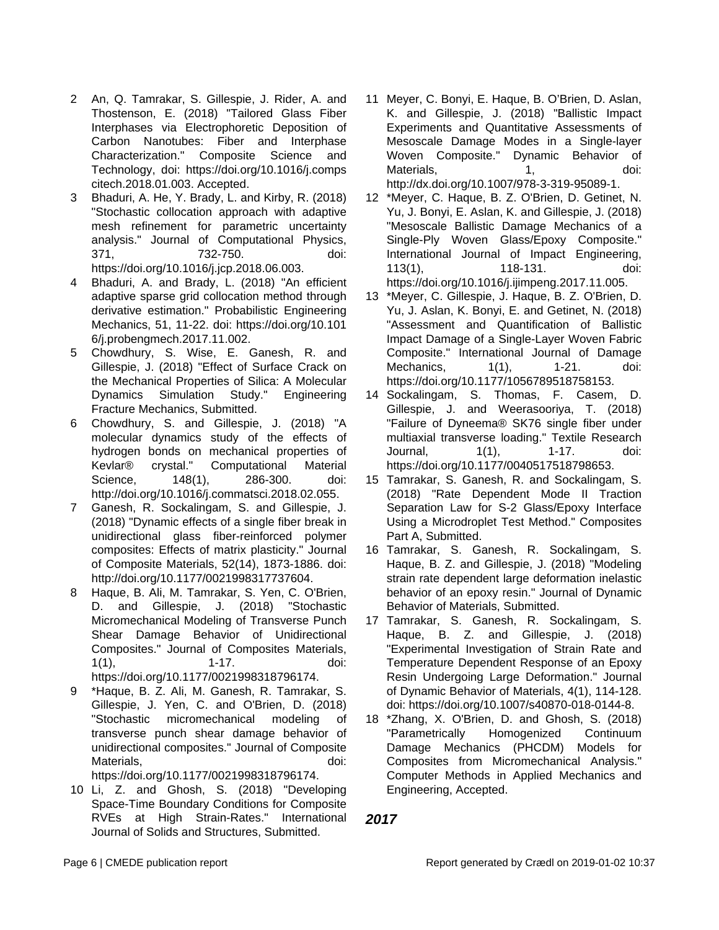- 2 An, Q. Tamrakar, S. Gillespie, J. Rider, A. and Thostenson, E. (2018) "Tailored Glass Fiber Interphases via Electrophoretic Deposition of Carbon Nanotubes: Fiber and Interphase Characterization." Composite Science and Technology, doi: https://doi.org/10.1016/j.comps citech.2018.01.003. Accepted.
- 3 Bhaduri, A. He, Y. Brady, L. and Kirby, R. (2018) "Stochastic collocation approach with adaptive mesh refinement for parametric uncertainty analysis." Journal of Computational Physics, 371, 732-750. doi: https://doi.org/10.1016/j.jcp.2018.06.003.
- Bhaduri, A. and Brady, L. (2018) "An efficient adaptive sparse grid collocation method through derivative estimation." Probabilistic Engineering Mechanics, 51, 11-22. doi: https://doi.org/10.101 6/j.probengmech.2017.11.002.
- 5 Chowdhury, S. Wise, E. Ganesh, R. and Gillespie, J. (2018) "Effect of Surface Crack on the Mechanical Properties of Silica: A Molecular Dynamics Simulation Study." Engineering Fracture Mechanics, Submitted.
- 6 Chowdhury, S. and Gillespie, J. (2018) "A molecular dynamics study of the effects of hydrogen bonds on mechanical properties of Kevlar® crystal." Computational Material Science, 148(1), 286-300. doi: http://doi.org/10.1016/j.commatsci.2018.02.055.
- 7 Ganesh, R. Sockalingam, S. and Gillespie, J. (2018) "Dynamic effects of a single fiber break in unidirectional glass fiber-reinforced polymer composites: Effects of matrix plasticity." Journal of Composite Materials, 52(14), 1873-1886. doi: http://doi.org/10.1177/0021998317737604.
- 8 Haque, B. Ali, M. Tamrakar, S. Yen, C. O'Brien, D. and Gillespie, J. (2018) "Stochastic Micromechanical Modeling of Transverse Punch Shear Damage Behavior of Unidirectional Composites." Journal of Composites Materials, 1(1), 1-17. doi: https://doi.org/10.1177/0021998318796174.
- 9 \*Haque, B. Z. Ali, M. Ganesh, R. Tamrakar, S. Gillespie, J. Yen, C. and O'Brien, D. (2018) "Stochastic micromechanical modeling of transverse punch shear damage behavior of unidirectional composites." Journal of Composite Materials, and the control of the control of the control of the control of the control of the control of the control of the control of the control of the control of the control of the control of the control of the control https://doi.org/10.1177/0021998318796174.
- 10 Li, Z. and Ghosh, S. (2018) "Developing Space-Time Boundary Conditions for Composite RVEs at High Strain-Rates." International Journal of Solids and Structures, Submitted.
- 11 Meyer, C. Bonyi, E. Haque, B. O'Brien, D. Aslan, K. and Gillespie, J. (2018) "Ballistic Impact Experiments and Quantitative Assessments of Mesoscale Damage Modes in a Single-layer Woven Composite." Dynamic Behavior of Materials, 1, doi: http://dx.doi.org/10.1007/978-3-319-95089-1.
- 12 \*Meyer, C. Haque, B. Z. O'Brien, D. Getinet, N. Yu, J. Bonyi, E. Aslan, K. and Gillespie, J. (2018) "Mesoscale Ballistic Damage Mechanics of a Single-Ply Woven Glass/Epoxy Composite." International Journal of Impact Engineering, 113(1), 118-131. doi: https://doi.org/10.1016/j.ijimpeng.2017.11.005.
- 13 \*Meyer, C. Gillespie, J. Haque, B. Z. O'Brien, D. Yu, J. Aslan, K. Bonyi, E. and Getinet, N. (2018) "Assessment and Quantification of Ballistic Impact Damage of a Single-Layer Woven Fabric Composite." International Journal of Damage Mechanics, 1(1), 1-21. doi: https://doi.org/10.1177/1056789518758153.
- 14 Sockalingam, S. Thomas, F. Casem, D. Gillespie, J. and Weerasooriya, T. (2018) "Failure of Dyneema® SK76 single fiber under multiaxial transverse loading." Textile Research Journal, 1(1), 1-17. doi: https://doi.org/10.1177/0040517518798653.
- 15 Tamrakar, S. Ganesh, R. and Sockalingam, S. (2018) "Rate Dependent Mode II Traction Separation Law for S-2 Glass/Epoxy Interface Using a Microdroplet Test Method." Composites Part A, Submitted.
- 16 Tamrakar, S. Ganesh, R. Sockalingam, S. Haque, B. Z. and Gillespie, J. (2018) "Modeling strain rate dependent large deformation inelastic behavior of an epoxy resin." Journal of Dynamic Behavior of Materials, Submitted.
- 17 Tamrakar, S. Ganesh, R. Sockalingam, S. Haque, B. Z. and Gillespie, J. (2018) "Experimental Investigation of Strain Rate and Temperature Dependent Response of an Epoxy Resin Undergoing Large Deformation." Journal of Dynamic Behavior of Materials, 4(1), 114-128. doi: https://doi.org/10.1007/s40870-018-0144-8.
- 18 \*Zhang, X. O'Brien, D. and Ghosh, S. (2018) "Parametrically Homogenized Continuum Damage Mechanics (PHCDM) Models for Composites from Micromechanical Analysis." Computer Methods in Applied Mechanics and Engineering, Accepted.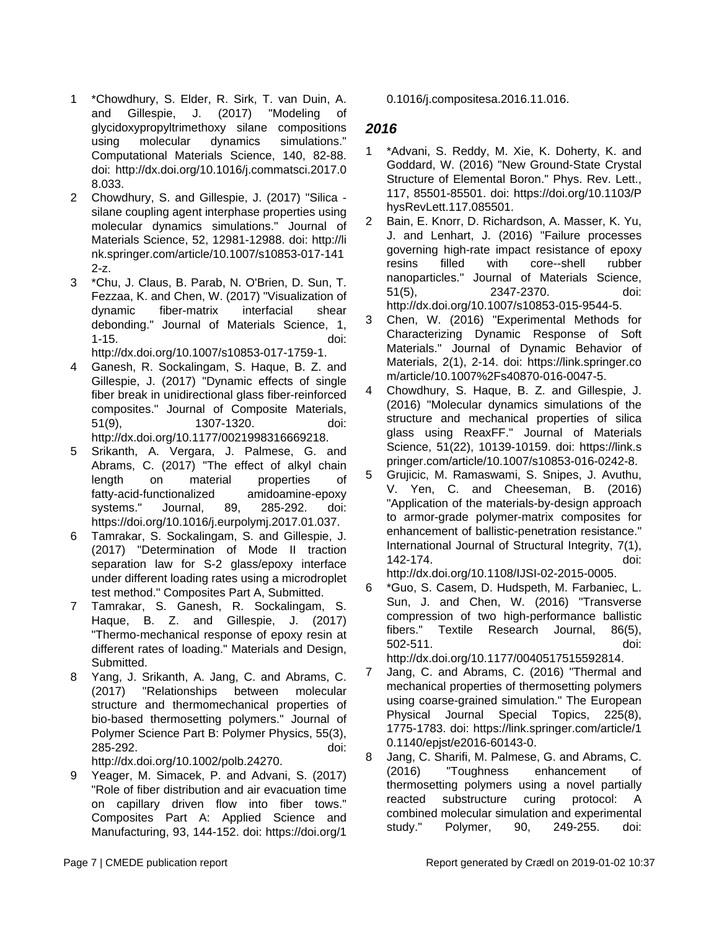- 1 \*Chowdhury, S. Elder, R. Sirk, T. van Duin, A. and Gillespie, J. (2017) "Modeling of glycidoxypropyltrimethoxy silane compositions using molecular dynamics simulations." Computational Materials Science, 140, 82-88. doi: http://dx.doi.org/10.1016/j.commatsci.2017.0 8.033.
- 2 Chowdhury, S. and Gillespie, J. (2017) "Silica silane coupling agent interphase properties using molecular dynamics simulations." Journal of Materials Science, 52, 12981-12988. doi: http://li nk.springer.com/article/10.1007/s10853-017-141 2-z.
- 3 \*Chu, J. Claus, B. Parab, N. O'Brien, D. Sun, T. Fezzaa, K. and Chen, W. (2017) "Visualization of dynamic fiber-matrix interfacial shear debonding." Journal of Materials Science, 1, 1-15. doi: http://dx.doi.org/10.1007/s10853-017-1759-1.
- 4 Ganesh, R. Sockalingam, S. Haque, B. Z. and Gillespie, J. (2017) "Dynamic effects of single fiber break in unidirectional glass fiber-reinforced composites." Journal of Composite Materials, 51(9), 1307-1320. doi: http://dx.doi.org/10.1177/0021998316669218.
- 5 Srikanth, A. Vergara, J. Palmese, G. and Abrams, C. (2017) "The effect of alkyl chain length on material properties of fatty-acid-functionalized amidoamine-epoxy systems." Journal, 89, 285-292. doi: https://doi.org/10.1016/j.eurpolymj.2017.01.037.
- 6 Tamrakar, S. Sockalingam, S. and Gillespie, J. (2017) "Determination of Mode II traction separation law for S-2 glass/epoxy interface under different loading rates using a microdroplet test method." Composites Part A, Submitted.
- 7 Tamrakar, S. Ganesh, R. Sockalingam, S. Haque, B. Z. and Gillespie, J. (2017) "Thermo-mechanical response of epoxy resin at different rates of loading." Materials and Design, Submitted.
- 8 Yang, J. Srikanth, A. Jang, C. and Abrams, C. (2017) "Relationships between molecular structure and thermomechanical properties of bio-based thermosetting polymers." Journal of Polymer Science Part B: Polymer Physics, 55(3), 285-292. doi:
- http://dx.doi.org/10.1002/polb.24270.
- 9 Yeager, M. Simacek, P. and Advani, S. (2017) "Role of fiber distribution and air evacuation time on capillary driven flow into fiber tows." Composites Part A: Applied Science and Manufacturing, 93, 144-152. doi: https://doi.org/1

0.1016/j.compositesa.2016.11.016.

### **2016**

- 1 \*Advani, S. Reddy, M. Xie, K. Doherty, K. and Goddard, W. (2016) "New Ground-State Crystal Structure of Elemental Boron." Phys. Rev. Lett., 117, 85501-85501. doi: https://doi.org/10.1103/P hysRevLett.117.085501.
- 2 Bain, E. Knorr, D. Richardson, A. Masser, K. Yu, J. and Lenhart, J. (2016) "Failure processes governing high-rate impact resistance of epoxy resins filled with core--shell rubber nanoparticles." Journal of Materials Science, 51(5), 2347-2370. doi: http://dx.doi.org/10.1007/s10853-015-9544-5.
- 3 Chen, W. (2016) "Experimental Methods for Characterizing Dynamic Response of Soft Materials." Journal of Dynamic Behavior of Materials, 2(1), 2-14. doi: https://link.springer.co m/article/10.1007%2Fs40870-016-0047-5.
- 4 Chowdhury, S. Haque, B. Z. and Gillespie, J. (2016) "Molecular dynamics simulations of the structure and mechanical properties of silica glass using ReaxFF." Journal of Materials Science, 51(22), 10139-10159. doi: https://link.s pringer.com/article/10.1007/s10853-016-0242-8.
- 5 Grujicic, M. Ramaswami, S. Snipes, J. Avuthu, V. Yen, C. and Cheeseman, B. (2016) "Application of the materials-by-design approach to armor-grade polymer-matrix composites for enhancement of ballistic-penetration resistance." International Journal of Structural Integrity, 7(1), 142-174. doi: http://dx.doi.org/10.1108/IJSI-02-2015-0005.

6 \*Guo, S. Casem, D. Hudspeth, M. Farbaniec, L. Sun, J. and Chen, W. (2016) "Transverse compression of two high-performance ballistic fibers." Textile Research Journal, 86(5),

502-511. doi: http://dx.doi.org/10.1177/0040517515592814. 7 Jang, C. and Abrams, C. (2016) "Thermal and mechanical properties of thermosetting polymers using coarse-grained simulation." The European Physical Journal Special Topics, 225(8), 1775-1783. doi: https://link.springer.com/article/1 0.1140/epjst/e2016-60143-0.

8 Jang, C. Sharifi, M. Palmese, G. and Abrams, C. (2016) "Toughness enhancement of thermosetting polymers using a novel partially reacted substructure curing protocol: A combined molecular simulation and experimental study." Polymer, 90, 249-255. doi: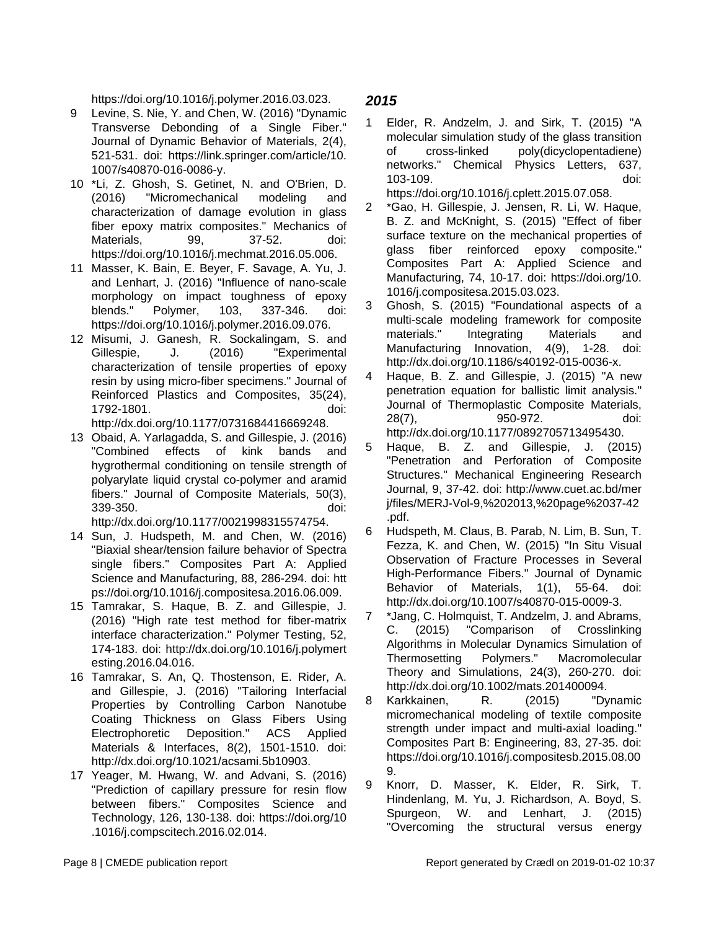https://doi.org/10.1016/j.polymer.2016.03.023.

- 9 Levine, S. Nie, Y. and Chen, W. (2016) "Dynamic Transverse Debonding of a Single Fiber." Journal of Dynamic Behavior of Materials, 2(4), 521-531. doi: https://link.springer.com/article/10. 1007/s40870-016-0086-y.
- 10 \*Li, Z. Ghosh, S. Getinet, N. and O'Brien, D. (2016) "Micromechanical modeling and characterization of damage evolution in glass fiber epoxy matrix composites." Mechanics of Materials, 99, 37-52. doi: https://doi.org/10.1016/j.mechmat.2016.05.006.
- 11 Masser, K. Bain, E. Beyer, F. Savage, A. Yu, J. and Lenhart, J. (2016) "Influence of nano-scale morphology on impact toughness of epoxy blends." Polymer, 103, 337-346. doi: https://doi.org/10.1016/j.polymer.2016.09.076.
- 12 Misumi, J. Ganesh, R. Sockalingam, S. and Gillespie, J. (2016) "Experimental characterization of tensile properties of epoxy resin by using micro-fiber specimens." Journal of Reinforced Plastics and Composites, 35(24), 1792-1801. doi: http://dx.doi.org/10.1177/0731684416669248.
- 13 Obaid, A. Yarlagadda, S. and Gillespie, J. (2016) "Combined effects of kink bands and hygrothermal conditioning on tensile strength of polyarylate liquid crystal co-polymer and aramid fibers." Journal of Composite Materials, 50(3), 339-350. doi: http://dx.doi.org/10.1177/0021998315574754.
- 14 Sun, J. Hudspeth, M. and Chen, W. (2016) "Biaxial shear/tension failure behavior of Spectra single fibers." Composites Part A: Applied Science and Manufacturing, 88, 286-294. doi: htt ps://doi.org/10.1016/j.compositesa.2016.06.009.
- 15 Tamrakar, S. Haque, B. Z. and Gillespie, J. (2016) "High rate test method for fiber-matrix interface characterization." Polymer Testing, 52, 174-183. doi: http://dx.doi.org/10.1016/j.polymert esting.2016.04.016.
- 16 Tamrakar, S. An, Q. Thostenson, E. Rider, A. and Gillespie, J. (2016) "Tailoring Interfacial Properties by Controlling Carbon Nanotube Coating Thickness on Glass Fibers Using Electrophoretic Deposition." ACS Applied Materials & Interfaces, 8(2), 1501-1510. doi: http://dx.doi.org/10.1021/acsami.5b10903.
- 17 Yeager, M. Hwang, W. and Advani, S. (2016) "Prediction of capillary pressure for resin flow between fibers." Composites Science and Technology, 126, 130-138. doi: https://doi.org/10 .1016/j.compscitech.2016.02.014.

- 1 Elder, R. Andzelm, J. and Sirk, T. (2015) "A molecular simulation study of the glass transition of cross-linked poly(dicyclopentadiene) networks." Chemical Physics Letters, 637, 103-109. doi: https://doi.org/10.1016/j.cplett.2015.07.058.
- 2 \*Gao, H. Gillespie, J. Jensen, R. Li, W. Haque, B. Z. and McKnight, S. (2015) "Effect of fiber surface texture on the mechanical properties of glass fiber reinforced epoxy composite." Composites Part A: Applied Science and Manufacturing, 74, 10-17. doi: https://doi.org/10. 1016/j.compositesa.2015.03.023.
- 3 Ghosh, S. (2015) "Foundational aspects of a multi-scale modeling framework for composite materials." Integrating Materials and Manufacturing Innovation, 4(9), 1-28. doi: http://dx.doi.org/10.1186/s40192-015-0036-x.
- 4 Haque, B. Z. and Gillespie, J. (2015) "A new penetration equation for ballistic limit analysis." Journal of Thermoplastic Composite Materials, 28(7), 950-972. doi: http://dx.doi.org/10.1177/0892705713495430.
- 5 Haque, B. Z. and Gillespie, J. (2015) "Penetration and Perforation of Composite Structures." Mechanical Engineering Research Journal, 9, 37-42. doi: http://www.cuet.ac.bd/mer j/files/MERJ-Vol-9,%202013,%20page%2037-42 .pdf.
- 6 Hudspeth, M. Claus, B. Parab, N. Lim, B. Sun, T. Fezza, K. and Chen, W. (2015) "In Situ Visual Observation of Fracture Processes in Several High-Performance Fibers." Journal of Dynamic Behavior of Materials, 1(1), 55-64. doi: http://dx.doi.org/10.1007/s40870-015-0009-3.
- 7 \*Jang, C. Holmquist, T. Andzelm, J. and Abrams, C. (2015) "Comparison of Crosslinking Algorithms in Molecular Dynamics Simulation of Thermosetting Polymers." Macromolecular Theory and Simulations, 24(3), 260-270. doi: http://dx.doi.org/10.1002/mats.201400094.
- 8 Karkkainen, R. (2015) "Dynamic micromechanical modeling of textile composite strength under impact and multi-axial loading." Composites Part B: Engineering, 83, 27-35. doi: https://doi.org/10.1016/j.compositesb.2015.08.00 9.
- 9 Knorr, D. Masser, K. Elder, R. Sirk, T. Hindenlang, M. Yu, J. Richardson, A. Boyd, S. Spurgeon, W. and Lenhart, J. (2015) "Overcoming the structural versus energy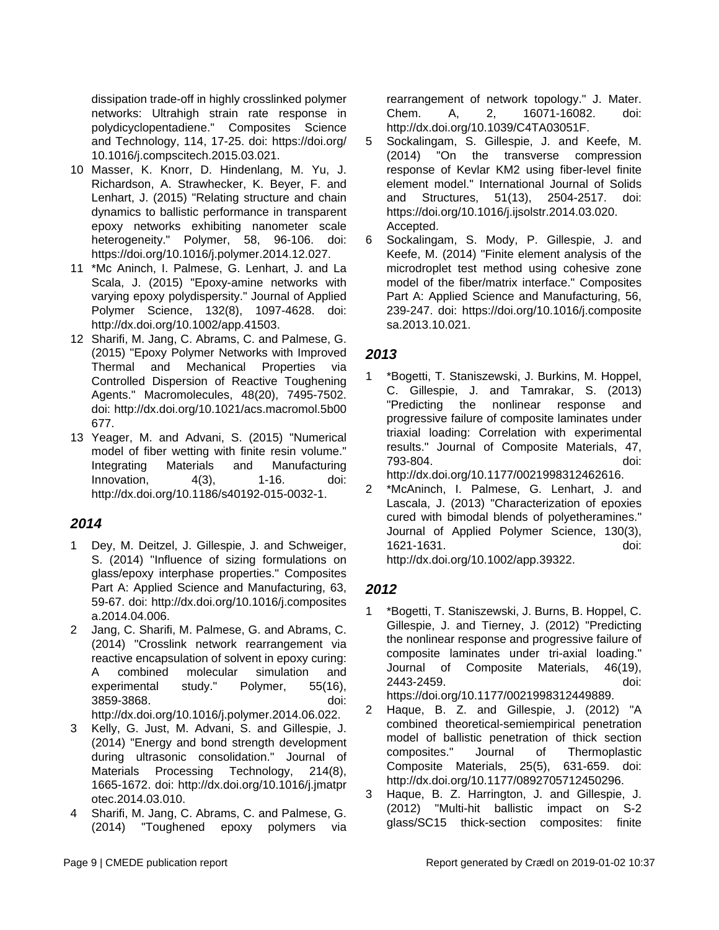dissipation trade-off in highly crosslinked polymer networks: Ultrahigh strain rate response in polydicyclopentadiene." Composites Science and Technology, 114, 17-25. doi: https://doi.org/ 10.1016/j.compscitech.2015.03.021.

- 10 Masser, K. Knorr, D. Hindenlang, M. Yu, J. Richardson, A. Strawhecker, K. Beyer, F. and Lenhart, J. (2015) "Relating structure and chain dynamics to ballistic performance in transparent epoxy networks exhibiting nanometer scale heterogeneity." Polymer, 58, 96-106. doi: https://doi.org/10.1016/j.polymer.2014.12.027.
- 11 \*Mc Aninch, I. Palmese, G. Lenhart, J. and La Scala, J. (2015) "Epoxy-amine networks with varying epoxy polydispersity." Journal of Applied Polymer Science, 132(8), 1097-4628. doi: http://dx.doi.org/10.1002/app.41503.
- 12 Sharifi, M. Jang, C. Abrams, C. and Palmese, G. (2015) "Epoxy Polymer Networks with Improved Thermal and Mechanical Properties via Controlled Dispersion of Reactive Toughening Agents." Macromolecules, 48(20), 7495-7502. doi: http://dx.doi.org/10.1021/acs.macromol.5b00 677.
- 13 Yeager, M. and Advani, S. (2015) "Numerical model of fiber wetting with finite resin volume." Integrating Materials and Manufacturing Innovation, 4(3), 1-16. doi: http://dx.doi.org/10.1186/s40192-015-0032-1.

### **2014**

- 1 Dey, M. Deitzel, J. Gillespie, J. and Schweiger, S. (2014) "Influence of sizing formulations on glass/epoxy interphase properties." Composites Part A: Applied Science and Manufacturing, 63, 59-67. doi: http://dx.doi.org/10.1016/j.composites a.2014.04.006.
- 2 Jang, C. Sharifi, M. Palmese, G. and Abrams, C. (2014) "Crosslink network rearrangement via reactive encapsulation of solvent in epoxy curing: A combined molecular simulation and experimental study." Polymer, 55(16), 3859-3868. doi: http://dx.doi.org/10.1016/j.polymer.2014.06.022.
- 3 Kelly, G. Just, M. Advani, S. and Gillespie, J. (2014) "Energy and bond strength development during ultrasonic consolidation." Journal of Materials Processing Technology, 214(8), 1665-1672. doi: http://dx.doi.org/10.1016/j.jmatpr otec.2014.03.010.
- 4 Sharifi, M. Jang, C. Abrams, C. and Palmese, G. (2014) "Toughened epoxy polymers via

rearrangement of network topology." J. Mater. Chem. A, 2, 16071-16082. doi: http://dx.doi.org/10.1039/C4TA03051F.

- 5 Sockalingam, S. Gillespie, J. and Keefe, M. (2014) "On the transverse compression response of Kevlar KM2 using fiber-level finite element model." International Journal of Solids and Structures, 51(13), 2504-2517. doi: https://doi.org/10.1016/j.ijsolstr.2014.03.020. Accepted.
- 6 Sockalingam, S. Mody, P. Gillespie, J. and Keefe, M. (2014) "Finite element analysis of the microdroplet test method using cohesive zone model of the fiber/matrix interface." Composites Part A: Applied Science and Manufacturing, 56, 239-247. doi: https://doi.org/10.1016/j.composite sa.2013.10.021.

### **2013**

1 \*Bogetti, T. Staniszewski, J. Burkins, M. Hoppel, C. Gillespie, J. and Tamrakar, S. (2013) "Predicting the nonlinear response and progressive failure of composite laminates under triaxial loading: Correlation with experimental results." Journal of Composite Materials, 47, 793-804. doi:

http://dx.doi.org/10.1177/0021998312462616.

2 \*McAninch, I. Palmese, G. Lenhart, J. and Lascala, J. (2013) "Characterization of epoxies cured with bimodal blends of polyetheramines." Journal of Applied Polymer Science, 130(3), 1621-1631. doi: http://dx.doi.org/10.1002/app.39322.

- 1 \*Bogetti, T. Staniszewski, J. Burns, B. Hoppel, C. Gillespie, J. and Tierney, J. (2012) "Predicting the nonlinear response and progressive failure of composite laminates under tri-axial loading." Journal of Composite Materials, 46(19), 2443-2459. doi: https://doi.org/10.1177/0021998312449889.
- 2 Haque, B. Z. and Gillespie, J. (2012) "A combined theoretical-semiempirical penetration model of ballistic penetration of thick section composites." Journal of Thermoplastic Composite Materials, 25(5), 631-659. doi: http://dx.doi.org/10.1177/0892705712450296.
- 3 Haque, B. Z. Harrington, J. and Gillespie, J. (2012) "Multi-hit ballistic impact on S-2 glass/SC15 thick-section composites: finite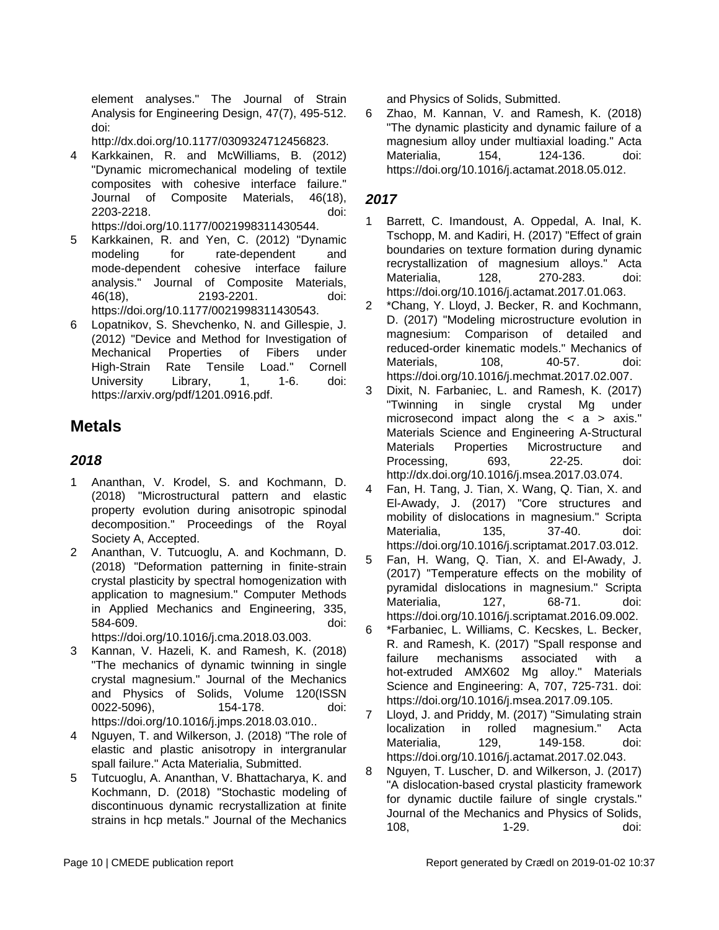element analyses." The Journal of Strain Analysis for Engineering Design, 47(7), 495-512. doi:

http://dx.doi.org/10.1177/0309324712456823.

- 4 Karkkainen, R. and McWilliams, B. (2012) "Dynamic micromechanical modeling of textile composites with cohesive interface failure." Journal of Composite Materials, 46(18), 2203-2218. doi: https://doi.org/10.1177/0021998311430544.
- 5 Karkkainen, R. and Yen, C. (2012) "Dynamic modeling for rate-dependent and mode-dependent cohesive interface failure analysis." Journal of Composite Materials, 46(18), 2193-2201. doi: https://doi.org/10.1177/0021998311430543.
- 6 Lopatnikov, S. Shevchenko, N. and Gillespie, J. (2012) "Device and Method for Investigation of Mechanical Properties of Fibers under High-Strain Rate Tensile Load." Cornell University Library, 1, 1-6. doi: https://arxiv.org/pdf/1201.0916.pdf.

### **Metals**

#### **2018**

- 1 Ananthan, V. Krodel, S. and Kochmann, D. (2018) "Microstructural pattern and elastic property evolution during anisotropic spinodal decomposition." Proceedings of the Royal Society A, Accepted.
- 2 Ananthan, V. Tutcuoglu, A. and Kochmann, D. (2018) "Deformation patterning in finite-strain crystal plasticity by spectral homogenization with application to magnesium." Computer Methods in Applied Mechanics and Engineering, 335, 584-609. doi:

https://doi.org/10.1016/j.cma.2018.03.003.

- 3 Kannan, V. Hazeli, K. and Ramesh, K. (2018) "The mechanics of dynamic twinning in single crystal magnesium." Journal of the Mechanics and Physics of Solids, Volume 120(ISSN 0022-5096), 154-178. doi: https://doi.org/10.1016/j.jmps.2018.03.010..
- 4 Nguyen, T. and Wilkerson, J. (2018) "The role of elastic and plastic anisotropy in intergranular spall failure." Acta Materialia, Submitted.
- 5 Tutcuoglu, A. Ananthan, V. Bhattacharya, K. and Kochmann, D. (2018) "Stochastic modeling of discontinuous dynamic recrystallization at finite strains in hcp metals." Journal of the Mechanics

and Physics of Solids, Submitted.

6 Zhao, M. Kannan, V. and Ramesh, K. (2018) "The dynamic plasticity and dynamic failure of a magnesium alloy under multiaxial loading." Acta Materialia, 154, 124-136. doi: https://doi.org/10.1016/j.actamat.2018.05.012.

- 1 Barrett, C. Imandoust, A. Oppedal, A. Inal, K. Tschopp, M. and Kadiri, H. (2017) "Effect of grain boundaries on texture formation during dynamic recrystallization of magnesium alloys." Acta Materialia, 128, 270-283. doi: https://doi.org/10.1016/j.actamat.2017.01.063.
- 2 \*Chang, Y. Lloyd, J. Becker, R. and Kochmann, D. (2017) "Modeling microstructure evolution in magnesium: Comparison of detailed and reduced-order kinematic models." Mechanics of Materials. 108, 40-57, doi: https://doi.org/10.1016/j.mechmat.2017.02.007.
- 3 Dixit, N. Farbaniec, L. and Ramesh, K. (2017) "Twinning in single crystal Mg under microsecond impact along the  $\langle a \rangle$  axis." Materials Science and Engineering A-Structural Materials Properties Microstructure and Processing, 693, 22-25. doi: http://dx.doi.org/10.1016/j.msea.2017.03.074.
- 4 Fan, H. Tang, J. Tian, X. Wang, Q. Tian, X. and El-Awady, J. (2017) "Core structures and mobility of dislocations in magnesium." Scripta Materialia, 135, 37-40. doi: https://doi.org/10.1016/j.scriptamat.2017.03.012.
- 5 Fan, H. Wang, Q. Tian, X. and El-Awady, J. (2017) "Temperature effects on the mobility of pyramidal dislocations in magnesium." Scripta Materialia, 127, 68-71. doi: https://doi.org/10.1016/j.scriptamat.2016.09.002.
- 6 \*Farbaniec, L. Williams, C. Kecskes, L. Becker, R. and Ramesh, K. (2017) "Spall response and failure mechanisms associated with a hot-extruded AMX602 Mg alloy." Materials Science and Engineering: A, 707, 725-731. doi: https://doi.org/10.1016/j.msea.2017.09.105.
- 7 Lloyd, J. and Priddy, M. (2017) "Simulating strain localization in rolled magnesium." Acta Materialia, 129, 149-158. doi: https://doi.org/10.1016/j.actamat.2017.02.043.
- 8 Nguyen, T. Luscher, D. and Wilkerson, J. (2017) "A dislocation-based crystal plasticity framework for dynamic ductile failure of single crystals." Journal of the Mechanics and Physics of Solids, 108, 1-29. doi: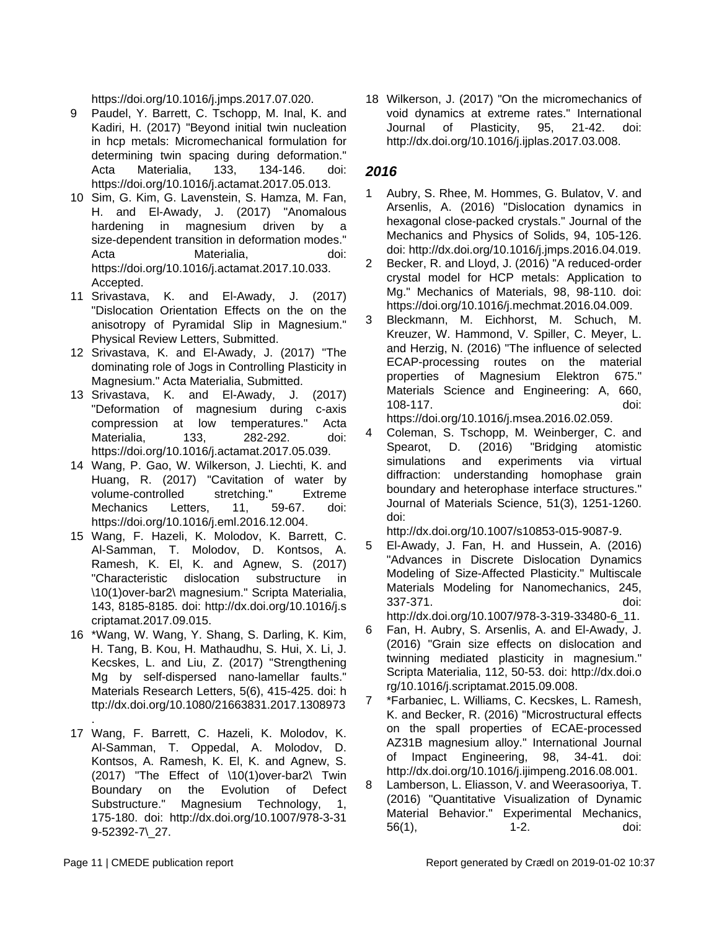https://doi.org/10.1016/j.jmps.2017.07.020.

- 9 Paudel, Y. Barrett, C. Tschopp, M. Inal, K. and Kadiri, H. (2017) "Beyond initial twin nucleation in hcp metals: Micromechanical formulation for determining twin spacing during deformation." Acta Materialia, 133, 134-146. doi: https://doi.org/10.1016/j.actamat.2017.05.013.
- 10 Sim, G. Kim, G. Lavenstein, S. Hamza, M. Fan, H. and El-Awady, J. (2017) "Anomalous hardening in magnesium driven by a size-dependent transition in deformation modes." Acta Materialia. doi: https://doi.org/10.1016/j.actamat.2017.10.033. Accepted.
- 11 Srivastava, K. and El-Awady, J. (2017) "Dislocation Orientation Effects on the on the anisotropy of Pyramidal Slip in Magnesium." Physical Review Letters, Submitted.
- 12 Srivastava, K. and El-Awady, J. (2017) "The dominating role of Jogs in Controlling Plasticity in Magnesium." Acta Materialia, Submitted.
- 13 Srivastava, K. and El-Awady, J. (2017) "Deformation of magnesium during c-axis compression at low temperatures." Acta Materialia, 133, 282-292. doi: https://doi.org/10.1016/j.actamat.2017.05.039.
- 14 Wang, P. Gao, W. Wilkerson, J. Liechti, K. and Huang, R. (2017) "Cavitation of water by volume-controlled stretching." Extreme Mechanics Letters, 11, 59-67. doi: https://doi.org/10.1016/j.eml.2016.12.004.
- 15 Wang, F. Hazeli, K. Molodov, K. Barrett, C. Al-Samman, T. Molodov, D. Kontsos, A. Ramesh, K. El, K. and Agnew, S. (2017) "Characteristic dislocation substructure in \10(1)over-bar2\ magnesium." Scripta Materialia, 143, 8185-8185. doi: http://dx.doi.org/10.1016/j.s criptamat.2017.09.015.
- 16 \*Wang, W. Wang, Y. Shang, S. Darling, K. Kim, H. Tang, B. Kou, H. Mathaudhu, S. Hui, X. Li, J. Kecskes, L. and Liu, Z. (2017) "Strengthening Mg by self-dispersed nano-lamellar faults." Materials Research Letters, 5(6), 415-425. doi: h ttp://dx.doi.org/10.1080/21663831.2017.1308973
- . 17 Wang, F. Barrett, C. Hazeli, K. Molodov, K. Al-Samman, T. Oppedal, A. Molodov, D. Kontsos, A. Ramesh, K. El, K. and Agnew, S. (2017) "The Effect of \10(1)over-bar2\ Twin Boundary on the Evolution of Defect Substructure." Magnesium Technology, 1, 175-180. doi: http://dx.doi.org/10.1007/978-3-31 9-52392-7\\_27.

18 Wilkerson, J. (2017) "On the micromechanics of void dynamics at extreme rates." International Journal of Plasticity, 95, 21-42. doi: http://dx.doi.org/10.1016/j.ijplas.2017.03.008.

### **2016**

- 1 Aubry, S. Rhee, M. Hommes, G. Bulatov, V. and Arsenlis, A. (2016) "Dislocation dynamics in hexagonal close-packed crystals." Journal of the Mechanics and Physics of Solids, 94, 105-126. doi: http://dx.doi.org/10.1016/j.jmps.2016.04.019.
- 2 Becker, R. and Lloyd, J. (2016) "A reduced-order crystal model for HCP metals: Application to Mg." Mechanics of Materials, 98, 98-110. doi: https://doi.org/10.1016/j.mechmat.2016.04.009.
- 3 Bleckmann, M. Eichhorst, M. Schuch, M. Kreuzer, W. Hammond, V. Spiller, C. Meyer, L. and Herzig, N. (2016) "The influence of selected ECAP-processing routes on the material properties of Magnesium Elektron 675." Materials Science and Engineering: A, 660, 108-117. doi: https://doi.org/10.1016/j.msea.2016.02.059.
- 4 Coleman, S. Tschopp, M. Weinberger, C. and Spearot, D. (2016) "Bridging atomistic simulations and experiments via virtual diffraction: understanding homophase grain boundary and heterophase interface structures." Journal of Materials Science, 51(3), 1251-1260. doi:

http://dx.doi.org/10.1007/s10853-015-9087-9.

- 5 El-Awady, J. Fan, H. and Hussein, A. (2016) "Advances in Discrete Dislocation Dynamics Modeling of Size-Affected Plasticity." Multiscale Materials Modeling for Nanomechanics, 245, 337-371. doi: http://dx.doi.org/10.1007/978-3-319-33480-6\_11.
- 6 Fan, H. Aubry, S. Arsenlis, A. and El-Awady, J. (2016) "Grain size effects on dislocation and twinning mediated plasticity in magnesium." Scripta Materialia, 112, 50-53. doi: http://dx.doi.o rg/10.1016/j.scriptamat.2015.09.008.
- 7 \*Farbaniec, L. Williams, C. Kecskes, L. Ramesh, K. and Becker, R. (2016) "Microstructural effects on the spall properties of ECAE-processed AZ31B magnesium alloy." International Journal of Impact Engineering, 98, 34-41. doi: http://dx.doi.org/10.1016/j.ijimpeng.2016.08.001.
- 8 Lamberson, L. Eliasson, V. and Weerasooriya, T. (2016) "Quantitative Visualization of Dynamic Material Behavior." Experimental Mechanics, 56(1), 1-2. doi: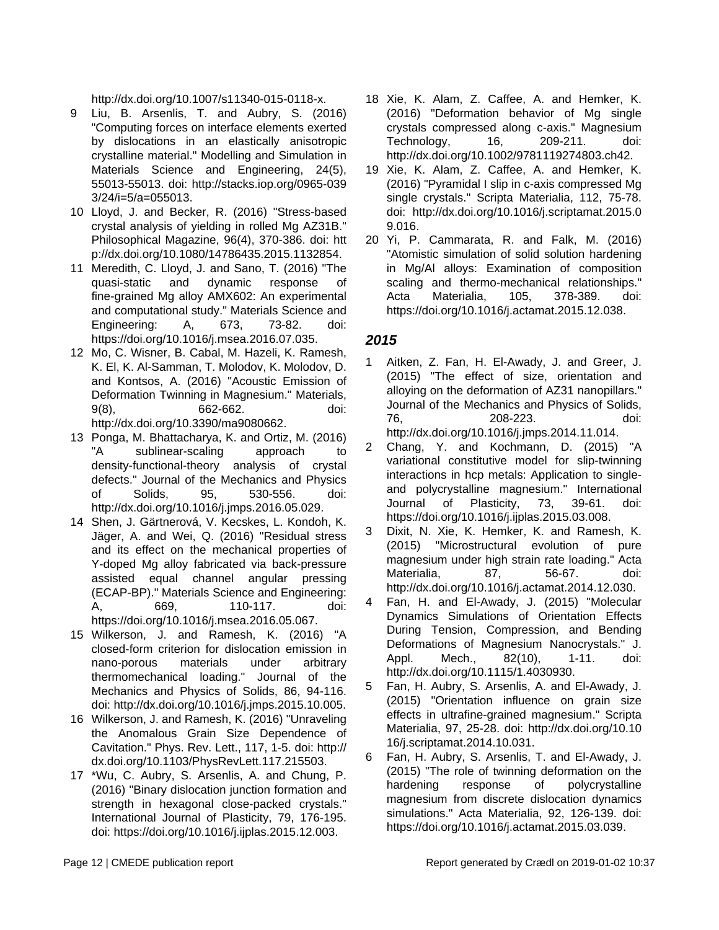http://dx.doi.org/10.1007/s11340-015-0118-x.

- 9 Liu, B. Arsenlis, T. and Aubry, S. (2016) "Computing forces on interface elements exerted by dislocations in an elastically anisotropic crystalline material." Modelling and Simulation in Materials Science and Engineering, 24(5), 55013-55013. doi: http://stacks.iop.org/0965-039 3/24/i=5/a=055013.
- 10 Lloyd, J. and Becker, R. (2016) "Stress-based crystal analysis of yielding in rolled Mg AZ31B." Philosophical Magazine, 96(4), 370-386. doi: htt p://dx.doi.org/10.1080/14786435.2015.1132854.
- 11 Meredith, C. Lloyd, J. and Sano, T. (2016) "The quasi-static and dynamic response of fine-grained Mg alloy AMX602: An experimental and computational study." Materials Science and Engineering: A, 673, 73-82. doi: https://doi.org/10.1016/j.msea.2016.07.035.
- 12 Mo, C. Wisner, B. Cabal, M. Hazeli, K. Ramesh, K. El, K. Al-Samman, T. Molodov, K. Molodov, D. and Kontsos, A. (2016) "Acoustic Emission of Deformation Twinning in Magnesium." Materials, 9(8), 662-662. doi: http://dx.doi.org/10.3390/ma9080662.
- 13 Ponga, M. Bhattacharya, K. and Ortiz, M. (2016) "A sublinear-scaling approach to density-functional-theory analysis of crystal defects." Journal of the Mechanics and Physics of Solids, 95, 530-556. doi: http://dx.doi.org/10.1016/j.jmps.2016.05.029.
- 14 Shen, J. Gärtnerová, V. Kecskes, L. Kondoh, K. Jäger, A. and Wei, Q. (2016) "Residual stress and its effect on the mechanical properties of Y-doped Mg alloy fabricated via back-pressure assisted equal channel angular pressing (ECAP-BP)." Materials Science and Engineering: A, 669, 110-117. doi: https://doi.org/10.1016/j.msea.2016.05.067.
- 15 Wilkerson, J. and Ramesh, K. (2016) "A closed-form criterion for dislocation emission in nano-porous materials under arbitrary thermomechanical loading." Journal of the Mechanics and Physics of Solids, 86, 94-116. doi: http://dx.doi.org/10.1016/j.jmps.2015.10.005.
- 16 Wilkerson, J. and Ramesh, K. (2016) "Unraveling the Anomalous Grain Size Dependence of Cavitation." Phys. Rev. Lett., 117, 1-5. doi: http:// dx.doi.org/10.1103/PhysRevLett.117.215503.
- 17 \*Wu, C. Aubry, S. Arsenlis, A. and Chung, P. (2016) "Binary dislocation junction formation and strength in hexagonal close-packed crystals." International Journal of Plasticity, 79, 176-195. doi: https://doi.org/10.1016/j.ijplas.2015.12.003.
- 18 Xie, K. Alam, Z. Caffee, A. and Hemker, K. (2016) "Deformation behavior of Mg single crystals compressed along c-axis." Magnesium Technology, 16, 209-211. doi: http://dx.doi.org/10.1002/9781119274803.ch42.
- 19 Xie, K. Alam, Z. Caffee, A. and Hemker, K. (2016) "Pyramidal I slip in c-axis compressed Mg single crystals." Scripta Materialia, 112, 75-78. doi: http://dx.doi.org/10.1016/j.scriptamat.2015.0 9.016.
- 20 Yi, P. Cammarata, R. and Falk, M. (2016) "Atomistic simulation of solid solution hardening in Mg/Al alloys: Examination of composition scaling and thermo-mechanical relationships." Acta Materialia, 105, 378-389. doi: https://doi.org/10.1016/j.actamat.2015.12.038.

- Aitken, Z. Fan, H. El-Awady, J. and Greer, J. (2015) "The effect of size, orientation and alloying on the deformation of AZ31 nanopillars." Journal of the Mechanics and Physics of Solids, 76, 208-223. doi: http://dx.doi.org/10.1016/j.jmps.2014.11.014.
- 2 Chang, Y. and Kochmann, D. (2015) "A variational constitutive model for slip-twinning interactions in hcp metals: Application to singleand polycrystalline magnesium." International Journal of Plasticity, 73, 39-61. doi: https://doi.org/10.1016/j.ijplas.2015.03.008.
- 3 Dixit, N. Xie, K. Hemker, K. and Ramesh, K. (2015) "Microstructural evolution of pure magnesium under high strain rate loading." Acta Materialia, 87, 56-67. doi: http://dx.doi.org/10.1016/j.actamat.2014.12.030.
- 4 Fan, H. and El-Awady, J. (2015) "Molecular Dynamics Simulations of Orientation Effects During Tension, Compression, and Bending Deformations of Magnesium Nanocrystals." J. Appl. Mech., 82(10), 1-11. doi: http://dx.doi.org/10.1115/1.4030930.
- 5 Fan, H. Aubry, S. Arsenlis, A. and El-Awady, J. (2015) "Orientation influence on grain size effects in ultrafine-grained magnesium." Scripta Materialia, 97, 25-28. doi: http://dx.doi.org/10.10 16/j.scriptamat.2014.10.031.
- 6 Fan, H. Aubry, S. Arsenlis, T. and El-Awady, J. (2015) "The role of twinning deformation on the hardening response of polycrystalline magnesium from discrete dislocation dynamics simulations." Acta Materialia, 92, 126-139. doi: https://doi.org/10.1016/j.actamat.2015.03.039.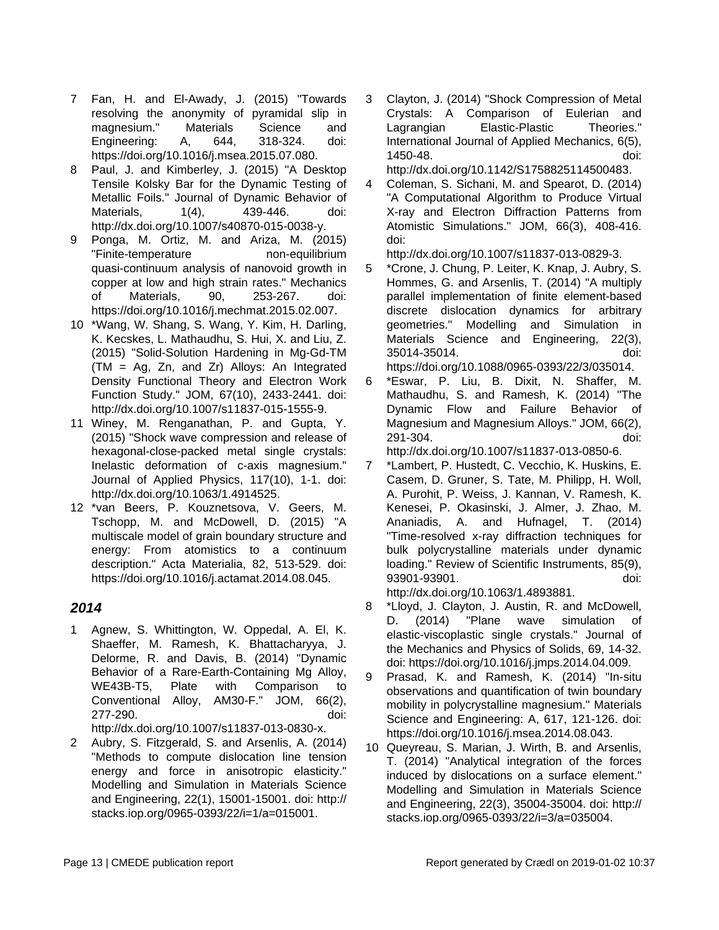- 7 Fan, H. and El-Awady, J. (2015) "Towards resolving the anonymity of pyramidal slip in magnesium." Materials Science and Engineering: A, 644, 318-324. doi: https://doi.org/10.1016/j.msea.2015.07.080.
- 8 Paul, J. and Kimberley, J. (2015) "A Desktop Tensile Kolsky Bar for the Dynamic Testing of Metallic Foils." Journal of Dynamic Behavior of Materials, 1(4), 439-446. doi: http://dx.doi.org/10.1007/s40870-015-0038-y.
- 9 Ponga, M. Ortiz, M. and Ariza, M. (2015) "Finite-temperature non-equilibrium quasi-continuum analysis of nanovoid growth in copper at low and high strain rates." Mechanics of Materials, 90, 253-267. doi: https://doi.org/10.1016/j.mechmat.2015.02.007.
- 10 \*Wang, W. Shang, S. Wang, Y. Kim, H. Darling, K. Kecskes, L. Mathaudhu, S. Hui, X. and Liu, Z. (2015) "Solid-Solution Hardening in Mg-Gd-TM (TM = Ag, Zn, and Zr) Alloys: An Integrated Density Functional Theory and Electron Work Function Study." JOM, 67(10), 2433-2441. doi: http://dx.doi.org/10.1007/s11837-015-1555-9.
- 11 Winey, M. Renganathan, P. and Gupta, Y. (2015) "Shock wave compression and release of hexagonal-close-packed metal single crystals: Inelastic deformation of c-axis magnesium." Journal of Applied Physics, 117(10), 1-1. doi: http://dx.doi.org/10.1063/1.4914525.
- 12 \*van Beers, P. Kouznetsova, V. Geers, M. Tschopp, M. and McDowell, D. (2015) "A multiscale model of grain boundary structure and energy: From atomistics to a continuum description." Acta Materialia, 82, 513-529. doi: https://doi.org/10.1016/j.actamat.2014.08.045.

#### **2014**

- 1 Agnew, S. Whittington, W. Oppedal, A. El, K. Shaeffer, M. Ramesh, K. Bhattacharyya, J. Delorme, R. and Davis, B. (2014) "Dynamic Behavior of a Rare-Earth-Containing Mg Alloy, WE43B-T5, Plate with Comparison to Conventional Alloy, AM30-F." JOM, 66(2), 277-290. doi: http://dx.doi.org/10.1007/s11837-013-0830-x.
- 2 Aubry, S. Fitzgerald, S. and Arsenlis, A. (2014) "Methods to compute dislocation line tension energy and force in anisotropic elasticity." Modelling and Simulation in Materials Science and Engineering, 22(1), 15001-15001. doi: http:// stacks.iop.org/0965-0393/22/i=1/a=015001.

3 Clayton, J. (2014) "Shock Compression of Metal Crystals: A Comparison of Eulerian and Lagrangian Elastic-Plastic Theories." International Journal of Applied Mechanics, 6(5), 1450-48. doi:

http://dx.doi.org/10.1142/S1758825114500483.

4 Coleman, S. Sichani, M. and Spearot, D. (2014) "A Computational Algorithm to Produce Virtual X-ray and Electron Diffraction Patterns from Atomistic Simulations." JOM, 66(3), 408-416. doi:

http://dx.doi.org/10.1007/s11837-013-0829-3.

- 5 \*Crone, J. Chung, P. Leiter, K. Knap, J. Aubry, S. Hommes, G. and Arsenlis, T. (2014) "A multiply parallel implementation of finite element-based discrete dislocation dynamics for arbitrary geometries." Modelling and Simulation in Materials Science and Engineering, 22(3), 35014-35014. doi: https://doi.org/10.1088/0965-0393/22/3/035014.
- 6 \*Eswar, P. Liu, B. Dixit, N. Shaffer, M. Mathaudhu, S. and Ramesh, K. (2014) "The Dynamic Flow and Failure Behavior of Magnesium and Magnesium Alloys." JOM, 66(2), 291-304. doi: http://dx.doi.org/10.1007/s11837-013-0850-6.
- 7 \*Lambert, P. Hustedt, C. Vecchio, K. Huskins, E. Casem, D. Gruner, S. Tate, M. Philipp, H. Woll, A. Purohit, P. Weiss, J. Kannan, V. Ramesh, K. Kenesei, P. Okasinski, J. Almer, J. Zhao, M. Ananiadis, A. and Hufnagel, T. (2014) "Time-resolved x-ray diffraction techniques for bulk polycrystalline materials under dynamic loading." Review of Scientific Instruments, 85(9), 93901-93901. doi:

http://dx.doi.org/10.1063/1.4893881.

- 8 \*Lloyd, J. Clayton, J. Austin, R. and McDowell, D. (2014) "Plane wave simulation of elastic-viscoplastic single crystals." Journal of the Mechanics and Physics of Solids, 69, 14-32. doi: https://doi.org/10.1016/j.jmps.2014.04.009.
- 9 Prasad, K. and Ramesh, K. (2014) "In-situ observations and quantification of twin boundary mobility in polycrystalline magnesium." Materials Science and Engineering: A, 617, 121-126. doi: https://doi.org/10.1016/j.msea.2014.08.043.
- 10 Queyreau, S. Marian, J. Wirth, B. and Arsenlis, T. (2014) "Analytical integration of the forces induced by dislocations on a surface element." Modelling and Simulation in Materials Science and Engineering, 22(3), 35004-35004. doi: http:// stacks.iop.org/0965-0393/22/i=3/a=035004.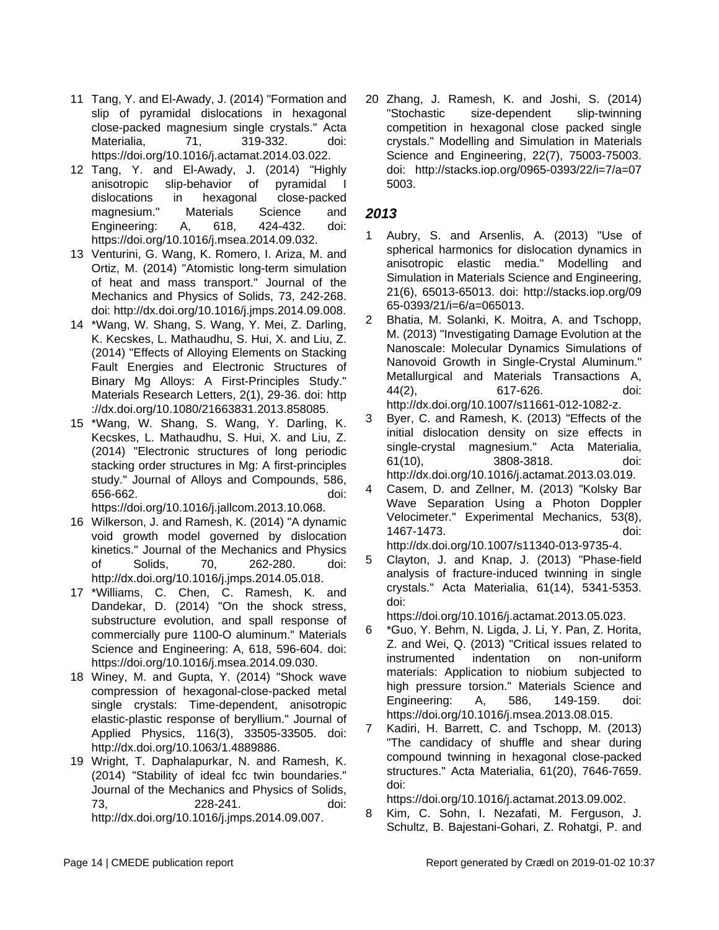- 11 Tang, Y. and El-Awady, J. (2014) "Formation and slip of pyramidal dislocations in hexagonal close-packed magnesium single crystals." Acta Materialia, 71, 319-332. doi: https://doi.org/10.1016/j.actamat.2014.03.022.
- 12 Tang, Y. and El-Awady, J. (2014) "Highly anisotropic slip-behavior of pyramidal I dislocations in hexagonal close-packed magnesium." Materials Science and Engineering: A, 618, 424-432. doi: https://doi.org/10.1016/j.msea.2014.09.032.
- 13 Venturini, G. Wang, K. Romero, I. Ariza, M. and Ortiz, M. (2014) "Atomistic long-term simulation of heat and mass transport." Journal of the Mechanics and Physics of Solids, 73, 242-268. doi: http://dx.doi.org/10.1016/j.jmps.2014.09.008.
- 14 \*Wang, W. Shang, S. Wang, Y. Mei, Z. Darling, K. Kecskes, L. Mathaudhu, S. Hui, X. and Liu, Z. (2014) "Effects of Alloying Elements on Stacking Fault Energies and Electronic Structures of Binary Mg Alloys: A First-Principles Study." Materials Research Letters, 2(1), 29-36. doi: http ://dx.doi.org/10.1080/21663831.2013.858085.
- 15 \*Wang, W. Shang, S. Wang, Y. Darling, K. Kecskes, L. Mathaudhu, S. Hui, X. and Liu, Z. (2014) "Electronic structures of long periodic stacking order structures in Mg: A first-principles study." Journal of Alloys and Compounds, 586, 656-662. doi:

https://doi.org/10.1016/j.jallcom.2013.10.068.

- 16 Wilkerson, J. and Ramesh, K. (2014) "A dynamic void growth model governed by dislocation kinetics." Journal of the Mechanics and Physics of Solids, 70, 262-280. doi: http://dx.doi.org/10.1016/j.jmps.2014.05.018.
- 17 \*Williams, C. Chen, C. Ramesh, K. and Dandekar, D. (2014) "On the shock stress, substructure evolution, and spall response of commercially pure 1100-O aluminum." Materials Science and Engineering: A, 618, 596-604. doi: https://doi.org/10.1016/j.msea.2014.09.030.
- 18 Winey, M. and Gupta, Y. (2014) "Shock wave compression of hexagonal-close-packed metal single crystals: Time-dependent, anisotropic elastic-plastic response of beryllium." Journal of Applied Physics, 116(3), 33505-33505. doi: http://dx.doi.org/10.1063/1.4889886.
- 19 Wright, T. Daphalapurkar, N. and Ramesh, K. (2014) "Stability of ideal fcc twin boundaries." Journal of the Mechanics and Physics of Solids, 73, 228-241. doi: http://dx.doi.org/10.1016/j.jmps.2014.09.007.

20 Zhang, J. Ramesh, K. and Joshi, S. (2014) "Stochastic size-dependent slip-twinning competition in hexagonal close packed single crystals." Modelling and Simulation in Materials Science and Engineering, 22(7), 75003-75003. doi: http://stacks.iop.org/0965-0393/22/i=7/a=07 5003.

#### **2013**

- Aubry, S. and Arsenlis, A. (2013) "Use of spherical harmonics for dislocation dynamics in anisotropic elastic media." Modelling and Simulation in Materials Science and Engineering, 21(6), 65013-65013. doi: http://stacks.iop.org/09 65-0393/21/i=6/a=065013.
- 2 Bhatia, M. Solanki, K. Moitra, A. and Tschopp, M. (2013) "Investigating Damage Evolution at the Nanoscale: Molecular Dynamics Simulations of Nanovoid Growth in Single-Crystal Aluminum." Metallurgical and Materials Transactions A, 44(2), 617-626. doi: http://dx.doi.org/10.1007/s11661-012-1082-z.
- 3 Byer, C. and Ramesh, K. (2013) "Effects of the initial dislocation density on size effects in single-crystal magnesium." Acta Materialia, 61(10), 3808-3818. doi: http://dx.doi.org/10.1016/j.actamat.2013.03.019.
- 4 Casem, D. and Zellner, M. (2013) "Kolsky Bar Wave Separation Using a Photon Doppler Velocimeter." Experimental Mechanics, 53(8), 1467-1473. doi: http://dx.doi.org/10.1007/s11340-013-9735-4.
- 5 Clayton, J. and Knap, J. (2013) "Phase-field analysis of fracture-induced twinning in single crystals." Acta Materialia, 61(14), 5341-5353. doi:

https://doi.org/10.1016/j.actamat.2013.05.023.

- 6 \*Guo, Y. Behm, N. Ligda, J. Li, Y. Pan, Z. Horita, Z. and Wei, Q. (2013) "Critical issues related to instrumented indentation on non-uniform materials: Application to niobium subjected to high pressure torsion." Materials Science and Engineering: A, 586, 149-159. doi: https://doi.org/10.1016/j.msea.2013.08.015.
- 7 Kadiri, H. Barrett, C. and Tschopp, M. (2013) "The candidacy of shuffle and shear during compound twinning in hexagonal close-packed structures." Acta Materialia, 61(20), 7646-7659. doi:

https://doi.org/10.1016/j.actamat.2013.09.002.

8 Kim, C. Sohn, I. Nezafati, M. Ferguson, J. Schultz, B. Bajestani-Gohari, Z. Rohatgi, P. and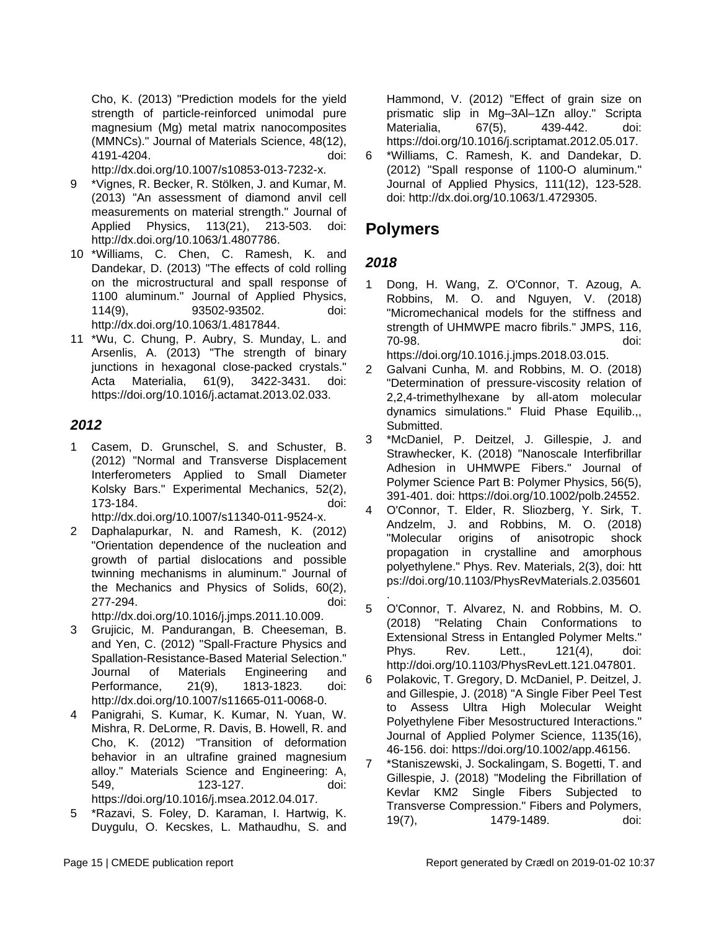Cho, K. (2013) "Prediction models for the yield strength of particle-reinforced unimodal pure magnesium (Mg) metal matrix nanocomposites (MMNCs)." Journal of Materials Science, 48(12), 4191-4204. doi:

http://dx.doi.org/10.1007/s10853-013-7232-x.

- 9 \*Vignes, R. Becker, R. Stölken, J. and Kumar, M. (2013) "An assessment of diamond anvil cell measurements on material strength." Journal of Applied Physics, 113(21), 213-503. doi: http://dx.doi.org/10.1063/1.4807786.
- 10 \*Williams, C. Chen, C. Ramesh, K. and Dandekar, D. (2013) "The effects of cold rolling on the microstructural and spall response of 1100 aluminum." Journal of Applied Physics, 114(9), 93502-93502. doi: http://dx.doi.org/10.1063/1.4817844.
- 11 \*Wu, C. Chung, P. Aubry, S. Munday, L. and Arsenlis, A. (2013) "The strength of binary junctions in hexagonal close-packed crystals." Acta Materialia, 61(9), 3422-3431. doi: https://doi.org/10.1016/j.actamat.2013.02.033.

#### **2012**

1 Casem, D. Grunschel, S. and Schuster, B. (2012) "Normal and Transverse Displacement Interferometers Applied to Small Diameter Kolsky Bars." Experimental Mechanics, 52(2), 173-184. doi: http://dx.doi.org/10.1007/s11340-011-9524-x.

2 Daphalapurkar, N. and Ramesh, K. (2012) "Orientation dependence of the nucleation and growth of partial dislocations and possible twinning mechanisms in aluminum." Journal of

277-294. doi: http://dx.doi.org/10.1016/j.jmps.2011.10.009.

the Mechanics and Physics of Solids, 60(2),

- 3 Grujicic, M. Pandurangan, B. Cheeseman, B. and Yen, C. (2012) "Spall-Fracture Physics and Spallation-Resistance-Based Material Selection." Journal of Materials Engineering and Performance, 21(9), 1813-1823. doi: http://dx.doi.org/10.1007/s11665-011-0068-0.
- 4 Panigrahi, S. Kumar, K. Kumar, N. Yuan, W. Mishra, R. DeLorme, R. Davis, B. Howell, R. and Cho, K. (2012) "Transition of deformation behavior in an ultrafine grained magnesium alloy." Materials Science and Engineering: A, 549, 123-127. doi: https://doi.org/10.1016/j.msea.2012.04.017.
- 5 \*Razavi, S. Foley, D. Karaman, I. Hartwig, K. Duygulu, O. Kecskes, L. Mathaudhu, S. and

Hammond, V. (2012) "Effect of grain size on prismatic slip in Mg–3Al–1Zn alloy." Scripta Materialia, 67(5), 439-442. doi: https://doi.org/10.1016/j.scriptamat.2012.05.017.

6 \*Williams, C. Ramesh, K. and Dandekar, D. (2012) "Spall response of 1100-O aluminum." Journal of Applied Physics, 111(12), 123-528. doi: http://dx.doi.org/10.1063/1.4729305.

### **Polymers**

### **2018**

1 Dong, H. Wang, Z. O'Connor, T. Azoug, A. Robbins, M. O. and Nguyen, V. (2018) "Micromechanical models for the stiffness and strength of UHMWPE macro fibrils." JMPS, 116, 70-98. doi: https://doi.org/10.1016.j.jmps.2018.03.015.

2 Galvani Cunha, M. and Robbins, M. O. (2018) "Determination of pressure-viscosity relation of 2,2,4-trimethylhexane by all-atom molecular dynamics simulations." Fluid Phase Equilib.,, Submitted.

- 3 \*McDaniel, P. Deitzel, J. Gillespie, J. and Strawhecker, K. (2018) "Nanoscale Interfibrillar Adhesion in UHMWPE Fibers." Journal of Polymer Science Part B: Polymer Physics, 56(5), 391-401. doi: https://doi.org/10.1002/polb.24552.
- 4 O'Connor, T. Elder, R. Sliozberg, Y. Sirk, T. Andzelm, J. and Robbins, M. O. (2018) "Molecular origins of anisotropic shock propagation in crystalline and amorphous polyethylene." Phys. Rev. Materials, 2(3), doi: htt ps://doi.org/10.1103/PhysRevMaterials.2.035601
- . 5 O'Connor, T. Alvarez, N. and Robbins, M. O. (2018) "Relating Chain Conformations to Extensional Stress in Entangled Polymer Melts." Phys. Rev. Lett., 121(4), doi: http://doi.org/10.1103/PhysRevLett.121.047801.
- 6 Polakovic, T. Gregory, D. McDaniel, P. Deitzel, J. and Gillespie, J. (2018) "A Single Fiber Peel Test to Assess Ultra High Molecular Weight Polyethylene Fiber Mesostructured Interactions." Journal of Applied Polymer Science, 1135(16), 46-156. doi: https://doi.org/10.1002/app.46156.
- 7 \*Staniszewski, J. Sockalingam, S. Bogetti, T. and Gillespie, J. (2018) "Modeling the Fibrillation of Kevlar KM2 Single Fibers Subjected to Transverse Compression." Fibers and Polymers, 19(7), 1479-1489. doi: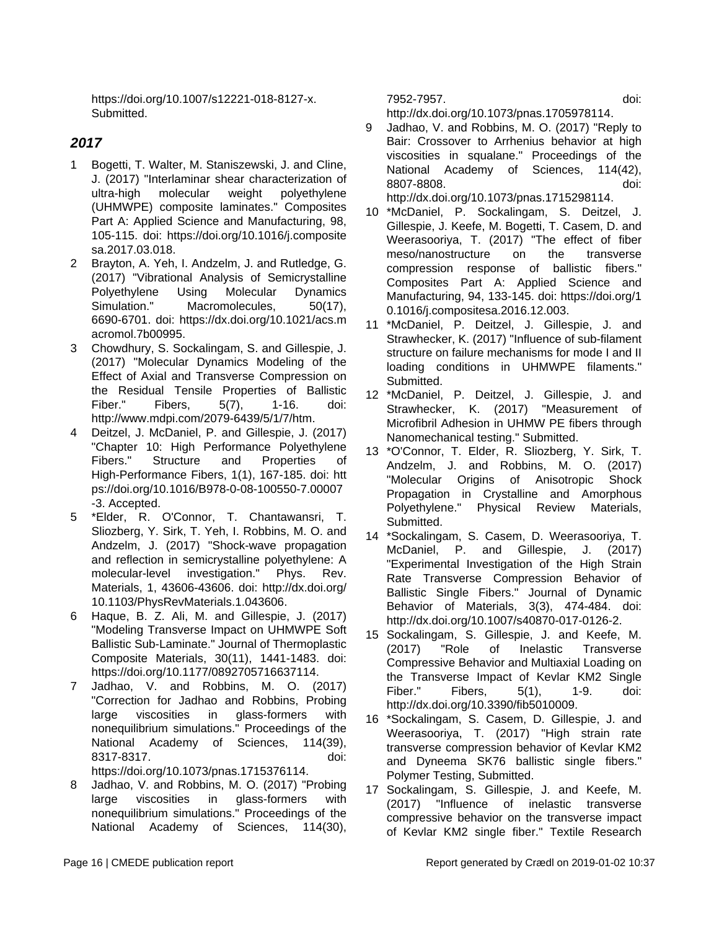https://doi.org/10.1007/s12221-018-8127-x. **Submitted.** 

#### **2017**

- 1 Bogetti, T. Walter, M. Staniszewski, J. and Cline, J. (2017) "Interlaminar shear characterization of ultra-high molecular weight polyethylene (UHMWPE) composite laminates." Composites Part A: Applied Science and Manufacturing, 98, 105-115. doi: https://doi.org/10.1016/j.composite sa.2017.03.018.
- 2 Brayton, A. Yeh, I. Andzelm, J. and Rutledge, G. (2017) "Vibrational Analysis of Semicrystalline Polyethylene Using Molecular Dynamics Simulation." Macromolecules, 50(17), 6690-6701. doi: https://dx.doi.org/10.1021/acs.m acromol.7b00995.
- 3 Chowdhury, S. Sockalingam, S. and Gillespie, J. (2017) "Molecular Dynamics Modeling of the Effect of Axial and Transverse Compression on the Residual Tensile Properties of Ballistic Fiber." Fibers, 5(7), 1-16. doi: http://www.mdpi.com/2079-6439/5/1/7/htm.
- 4 Deitzel, J. McDaniel, P. and Gillespie, J. (2017) "Chapter 10: High Performance Polyethylene Fibers." Structure and Properties of High-Performance Fibers, 1(1), 167-185. doi: htt ps://doi.org/10.1016/B978-0-08-100550-7.00007 -3. Accepted.
- 5 \*Elder, R. O'Connor, T. Chantawansri, T. Sliozberg, Y. Sirk, T. Yeh, I. Robbins, M. O. and Andzelm, J. (2017) "Shock-wave propagation and reflection in semicrystalline polyethylene: A molecular-level investigation." Phys. Rev. Materials, 1, 43606-43606. doi: http://dx.doi.org/ 10.1103/PhysRevMaterials.1.043606.
- 6 Haque, B. Z. Ali, M. and Gillespie, J. (2017) "Modeling Transverse Impact on UHMWPE Soft Ballistic Sub-Laminate." Journal of Thermoplastic Composite Materials, 30(11), 1441-1483. doi: https://doi.org/10.1177/0892705716637114.
- 7 Jadhao, V. and Robbins, M. O. (2017) "Correction for Jadhao and Robbins, Probing large viscosities in glass-formers with nonequilibrium simulations." Proceedings of the National Academy of Sciences, 114(39), 8317-8317. doi: https://doi.org/10.1073/pnas.1715376114.
- 8 Jadhao, V. and Robbins, M. O. (2017) "Probing large viscosities in glass-formers with nonequilibrium simulations." Proceedings of the National Academy of Sciences, 114(30),

7952-7957. doi:

http://dx.doi.org/10.1073/pnas.1705978114.

- 9 Jadhao, V. and Robbins, M. O. (2017) "Reply to Bair: Crossover to Arrhenius behavior at high viscosities in squalane." Proceedings of the National Academy of Sciences, 114(42), 8807-8808. doi: http://dx.doi.org/10.1073/pnas.1715298114.
- 10 \*McDaniel, P. Sockalingam, S. Deitzel, J. Gillespie, J. Keefe, M. Bogetti, T. Casem, D. and Weerasooriya, T. (2017) "The effect of fiber meso/nanostructure on the transverse compression response of ballistic fibers." Composites Part A: Applied Science and Manufacturing, 94, 133-145. doi: https://doi.org/1 0.1016/j.compositesa.2016.12.003.
- 11 \*McDaniel, P. Deitzel, J. Gillespie, J. and Strawhecker, K. (2017) "Influence of sub-filament structure on failure mechanisms for mode I and II loading conditions in UHMWPE filaments." Submitted.
- 12 \*McDaniel, P. Deitzel, J. Gillespie, J. and Strawhecker, K. (2017) "Measurement of Microfibril Adhesion in UHMW PE fibers through Nanomechanical testing." Submitted.
- 13 \*O'Connor, T. Elder, R. Sliozberg, Y. Sirk, T. Andzelm, J. and Robbins, M. O. (2017) "Molecular Origins of Anisotropic Shock Propagation in Crystalline and Amorphous Polyethylene." Physical Review Materials, Submitted.
- 14 \*Sockalingam, S. Casem, D. Weerasooriya, T. McDaniel, P. and Gillespie, J. (2017) "Experimental Investigation of the High Strain Rate Transverse Compression Behavior of Ballistic Single Fibers." Journal of Dynamic Behavior of Materials, 3(3), 474-484. doi: http://dx.doi.org/10.1007/s40870-017-0126-2.
- 15 Sockalingam, S. Gillespie, J. and Keefe, M. (2017) "Role of Inelastic Transverse Compressive Behavior and Multiaxial Loading on the Transverse Impact of Kevlar KM2 Single Fiber." Fibers, 5(1), 1-9. doi: http://dx.doi.org/10.3390/fib5010009.
- 16 \*Sockalingam, S. Casem, D. Gillespie, J. and Weerasooriya, T. (2017) "High strain rate transverse compression behavior of Kevlar KM2 and Dyneema SK76 ballistic single fibers." Polymer Testing, Submitted.
- 17 Sockalingam, S. Gillespie, J. and Keefe, M. (2017) "Influence of inelastic transverse compressive behavior on the transverse impact of Kevlar KM2 single fiber." Textile Research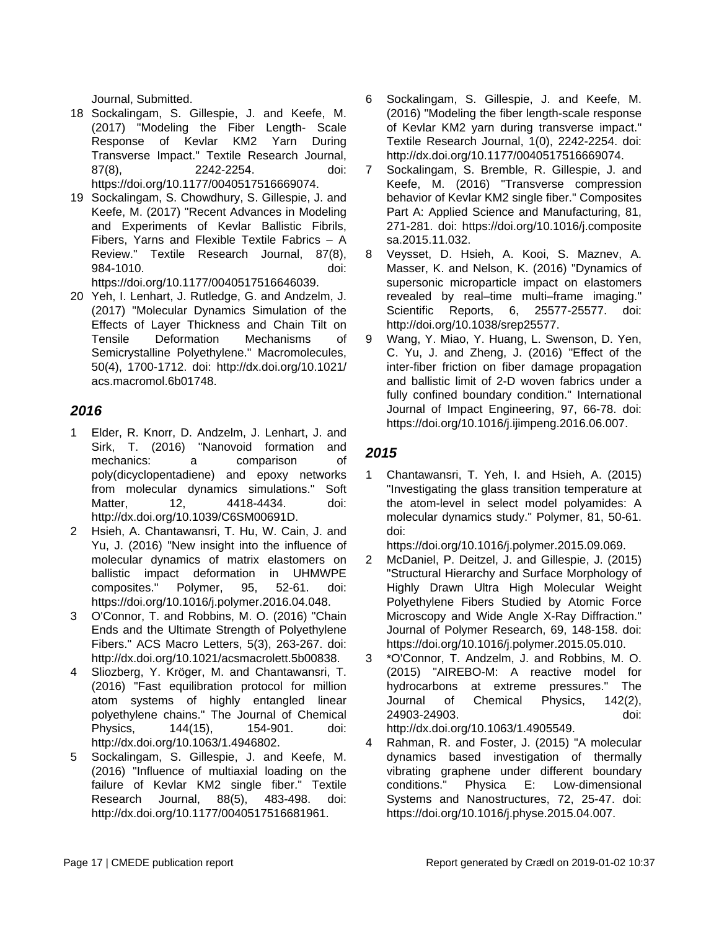Journal, Submitted.

- 18 Sockalingam, S. Gillespie, J. and Keefe, M. (2017) "Modeling the Fiber Length- Scale Response of Kevlar KM2 Yarn During Transverse Impact." Textile Research Journal, 87(8), 2242-2254. doi: https://doi.org/10.1177/0040517516669074.
- 19 Sockalingam, S. Chowdhury, S. Gillespie, J. and Keefe, M. (2017) "Recent Advances in Modeling and Experiments of Kevlar Ballistic Fibrils, Fibers, Yarns and Flexible Textile Fabrics – A Review." Textile Research Journal, 87(8), 984-1010. doi: https://doi.org/10.1177/0040517516646039.
- 20 Yeh, I. Lenhart, J. Rutledge, G. and Andzelm, J. (2017) "Molecular Dynamics Simulation of the Effects of Layer Thickness and Chain Tilt on Tensile Deformation Mechanisms of Semicrystalline Polyethylene." Macromolecules, 50(4), 1700-1712. doi: http://dx.doi.org/10.1021/ acs.macromol.6b01748.

#### **2016**

- 1 Elder, R. Knorr, D. Andzelm, J. Lenhart, J. and Sirk, T. (2016) "Nanovoid formation and mechanics: a comparison of poly(dicyclopentadiene) and epoxy networks from molecular dynamics simulations." Soft Matter, 12, 4418-4434. doi: http://dx.doi.org/10.1039/C6SM00691D.
- 2 Hsieh, A. Chantawansri, T. Hu, W. Cain, J. and Yu, J. (2016) "New insight into the influence of molecular dynamics of matrix elastomers on ballistic impact deformation in UHMWPE composites." Polymer, 95, 52-61. doi: https://doi.org/10.1016/j.polymer.2016.04.048.
- 3 O'Connor, T. and Robbins, M. O. (2016) "Chain Ends and the Ultimate Strength of Polyethylene Fibers." ACS Macro Letters, 5(3), 263-267. doi: http://dx.doi.org/10.1021/acsmacrolett.5b00838.
- 4 Sliozberg, Y. Kröger, M. and Chantawansri, T. (2016) "Fast equilibration protocol for million atom systems of highly entangled linear polyethylene chains." The Journal of Chemical Physics, 144(15), 154-901. doi: http://dx.doi.org/10.1063/1.4946802.
- 5 Sockalingam, S. Gillespie, J. and Keefe, M. (2016) "Influence of multiaxial loading on the failure of Kevlar KM2 single fiber." Textile Research Journal, 88(5), 483-498. doi: http://dx.doi.org/10.1177/0040517516681961.
- 6 Sockalingam, S. Gillespie, J. and Keefe, M. (2016) "Modeling the fiber length-scale response of Kevlar KM2 yarn during transverse impact." Textile Research Journal, 1(0), 2242-2254. doi: http://dx.doi.org/10.1177/0040517516669074.
- 7 Sockalingam, S. Bremble, R. Gillespie, J. and Keefe, M. (2016) "Transverse compression behavior of Kevlar KM2 single fiber." Composites Part A: Applied Science and Manufacturing, 81, 271-281. doi: https://doi.org/10.1016/j.composite sa.2015.11.032.
- 8 Veysset, D. Hsieh, A. Kooi, S. Maznev, A. Masser, K. and Nelson, K. (2016) "Dynamics of supersonic microparticle impact on elastomers revealed by real–time multi–frame imaging." Scientific Reports, 6, 25577-25577. doi: http://doi.org/10.1038/srep25577.
- 9 Wang, Y. Miao, Y. Huang, L. Swenson, D. Yen, C. Yu, J. and Zheng, J. (2016) "Effect of the inter-fiber friction on fiber damage propagation and ballistic limit of 2-D woven fabrics under a fully confined boundary condition." International Journal of Impact Engineering, 97, 66-78. doi: https://doi.org/10.1016/j.ijimpeng.2016.06.007.

### **2015**

1 Chantawansri, T. Yeh, I. and Hsieh, A. (2015) "Investigating the glass transition temperature at the atom-level in select model polyamides: A molecular dynamics study." Polymer, 81, 50-61. doi:

https://doi.org/10.1016/j.polymer.2015.09.069.

- 2 McDaniel, P. Deitzel, J. and Gillespie, J. (2015) "Structural Hierarchy and Surface Morphology of Highly Drawn Ultra High Molecular Weight Polyethylene Fibers Studied by Atomic Force Microscopy and Wide Angle X-Ray Diffraction." Journal of Polymer Research, 69, 148-158. doi: https://doi.org/10.1016/j.polymer.2015.05.010.
- 3 \*O'Connor, T. Andzelm, J. and Robbins, M. O. (2015) "AIREBO-M: A reactive model for hydrocarbons at extreme pressures." The Journal of Chemical Physics, 142(2), 24903-24903. doi: http://dx.doi.org/10.1063/1.4905549.
- 4 Rahman, R. and Foster, J. (2015) "A molecular dynamics based investigation of thermally vibrating graphene under different boundary conditions." Physica E: Low-dimensional Systems and Nanostructures, 72, 25-47. doi: https://doi.org/10.1016/j.physe.2015.04.007.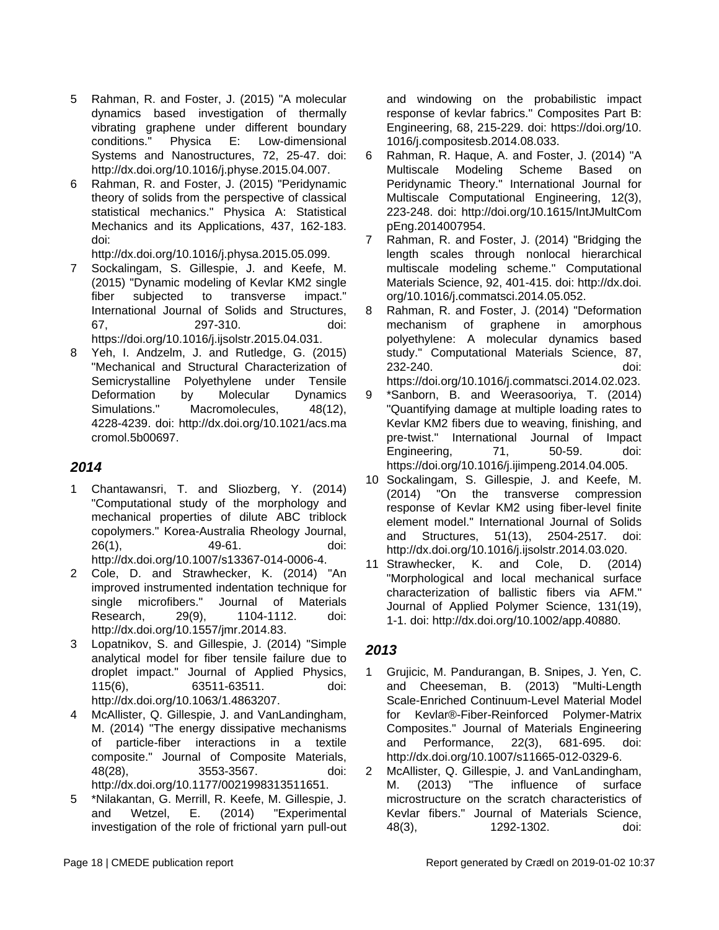- 5 Rahman, R. and Foster, J. (2015) "A molecular dynamics based investigation of thermally vibrating graphene under different boundary conditions." Physica E: Low-dimensional Systems and Nanostructures, 72, 25-47. doi: http://dx.doi.org/10.1016/j.physe.2015.04.007.
- 6 Rahman, R. and Foster, J. (2015) "Peridynamic theory of solids from the perspective of classical statistical mechanics." Physica A: Statistical Mechanics and its Applications, 437, 162-183. doi:

http://dx.doi.org/10.1016/j.physa.2015.05.099.

- 7 Sockalingam, S. Gillespie, J. and Keefe, M. (2015) "Dynamic modeling of Kevlar KM2 single fiber subjected to transverse impact." International Journal of Solids and Structures, 67, 297-310. doi: https://doi.org/10.1016/j.ijsolstr.2015.04.031.
- 8 Yeh, I. Andzelm, J. and Rutledge, G. (2015) "Mechanical and Structural Characterization of Semicrystalline Polyethylene under Tensile Deformation by Molecular Dynamics Simulations." Macromolecules, 48(12). 4228-4239. doi: http://dx.doi.org/10.1021/acs.ma cromol.5b00697.

### **2014**

- 1 Chantawansri, T. and Sliozberg, Y. (2014) "Computational study of the morphology and mechanical properties of dilute ABC triblock copolymers." Korea-Australia Rheology Journal, 26(1), 49-61. doi: http://dx.doi.org/10.1007/s13367-014-0006-4.
- 2 Cole, D. and Strawhecker, K. (2014) "An improved instrumented indentation technique for single microfibers." Journal of Materials Research, 29(9), 1104-1112. doi: http://dx.doi.org/10.1557/jmr.2014.83.
- 3 Lopatnikov, S. and Gillespie, J. (2014) "Simple analytical model for fiber tensile failure due to droplet impact." Journal of Applied Physics, 115(6), 63511-63511. doi: http://dx.doi.org/10.1063/1.4863207.
- 4 McAllister, Q. Gillespie, J. and VanLandingham, M. (2014) "The energy dissipative mechanisms of particle-fiber interactions in a textile composite." Journal of Composite Materials, 48(28), 3553-3567. doi: http://dx.doi.org/10.1177/0021998313511651.
- 5 \*Nilakantan, G. Merrill, R. Keefe, M. Gillespie, J. and Wetzel, E. (2014) "Experimental investigation of the role of frictional yarn pull-out

and windowing on the probabilistic impact response of kevlar fabrics." Composites Part B: Engineering, 68, 215-229. doi: https://doi.org/10. 1016/j.compositesb.2014.08.033.

- 6 Rahman, R. Haque, A. and Foster, J. (2014) "A Multiscale Modeling Scheme Based on Peridynamic Theory." International Journal for Multiscale Computational Engineering, 12(3), 223-248. doi: http://doi.org/10.1615/IntJMultCom pEng.2014007954.
- 7 Rahman, R. and Foster, J. (2014) "Bridging the length scales through nonlocal hierarchical multiscale modeling scheme." Computational Materials Science, 92, 401-415. doi: http://dx.doi. org/10.1016/j.commatsci.2014.05.052.
- 8 Rahman, R. and Foster, J. (2014) "Deformation mechanism of graphene in amorphous polyethylene: A molecular dynamics based study." Computational Materials Science, 87, 232-240. doi: https://doi.org/10.1016/j.commatsci.2014.02.023.
- 9 \*Sanborn, B. and Weerasooriya, T. (2014) "Quantifying damage at multiple loading rates to Kevlar KM2 fibers due to weaving, finishing, and pre-twist." International Journal of Impact Engineering, 71, 50-59. doi: https://doi.org/10.1016/j.ijimpeng.2014.04.005.
- 10 Sockalingam, S. Gillespie, J. and Keefe, M. (2014) "On the transverse compression response of Kevlar KM2 using fiber-level finite element model." International Journal of Solids and Structures, 51(13), 2504-2517. doi: http://dx.doi.org/10.1016/j.ijsolstr.2014.03.020.
- 11 Strawhecker, K. and Cole, D. (2014) "Morphological and local mechanical surface characterization of ballistic fibers via AFM." Journal of Applied Polymer Science, 131(19), 1-1. doi: http://dx.doi.org/10.1002/app.40880.

- 1 Grujicic, M. Pandurangan, B. Snipes, J. Yen, C. and Cheeseman, B. (2013) "Multi-Length Scale-Enriched Continuum-Level Material Model for Kevlar®-Fiber-Reinforced Polymer-Matrix Composites." Journal of Materials Engineering and Performance, 22(3), 681-695. doi: http://dx.doi.org/10.1007/s11665-012-0329-6.
- 2 McAllister, Q. Gillespie, J. and VanLandingham, M. (2013) "The influence of surface microstructure on the scratch characteristics of Kevlar fibers." Journal of Materials Science, 48(3), 1292-1302. doi: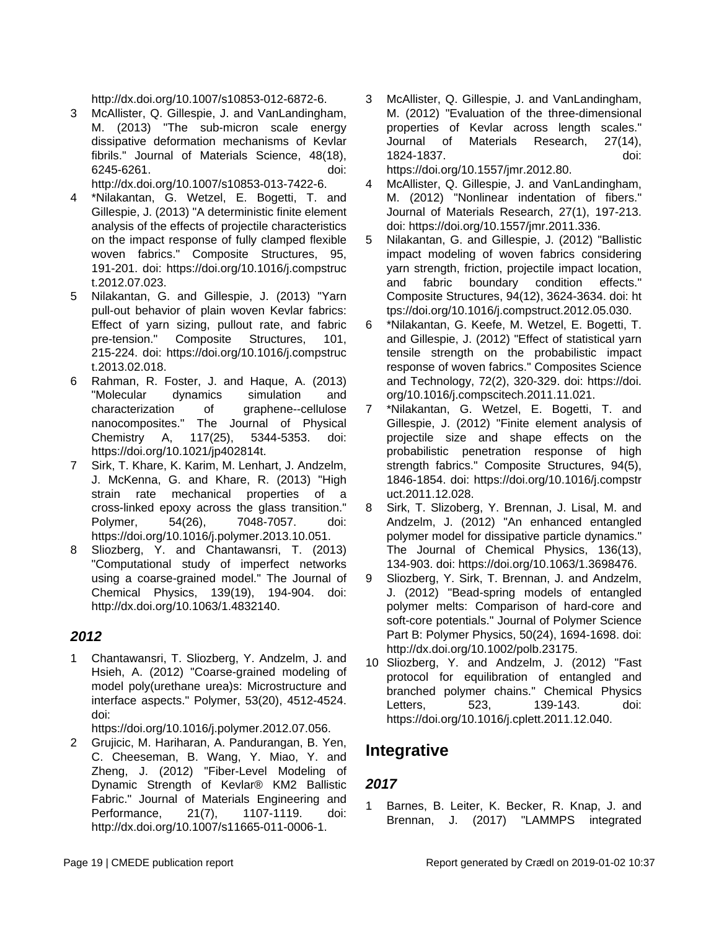http://dx.doi.org/10.1007/s10853-012-6872-6.

3 McAllister, Q. Gillespie, J. and VanLandingham, M. (2013) "The sub-micron scale energy dissipative deformation mechanisms of Kevlar fibrils." Journal of Materials Science, 48(18), 6245-6261. doi:

http://dx.doi.org/10.1007/s10853-013-7422-6.

- 4 \*Nilakantan, G. Wetzel, E. Bogetti, T. and Gillespie, J. (2013) "A deterministic finite element analysis of the effects of projectile characteristics on the impact response of fully clamped flexible woven fabrics." Composite Structures, 95, 191-201. doi: https://doi.org/10.1016/j.compstruc t.2012.07.023.
- 5 Nilakantan, G. and Gillespie, J. (2013) "Yarn pull-out behavior of plain woven Kevlar fabrics: Effect of yarn sizing, pullout rate, and fabric pre-tension." Composite Structures, 101, 215-224. doi: https://doi.org/10.1016/j.compstruc t.2013.02.018.
- 6 Rahman, R. Foster, J. and Haque, A. (2013) "Molecular dynamics simulation and characterization of graphene--cellulose nanocomposites." The Journal of Physical Chemistry A, 117(25), 5344-5353. doi: https://doi.org/10.1021/jp402814t.
- 7 Sirk, T. Khare, K. Karim, M. Lenhart, J. Andzelm, J. McKenna, G. and Khare, R. (2013) "High strain rate mechanical properties of a cross-linked epoxy across the glass transition." Polymer, 54(26), 7048-7057. doi: https://doi.org/10.1016/j.polymer.2013.10.051.
- 8 Sliozberg, Y. and Chantawansri, T. (2013) "Computational study of imperfect networks using a coarse-grained model." The Journal of Chemical Physics, 139(19), 194-904. doi: http://dx.doi.org/10.1063/1.4832140.

#### **2012**

1 Chantawansri, T. Sliozberg, Y. Andzelm, J. and Hsieh, A. (2012) "Coarse-grained modeling of model poly(urethane urea)s: Microstructure and interface aspects." Polymer, 53(20), 4512-4524. doi:

https://doi.org/10.1016/j.polymer.2012.07.056.

2 Grujicic, M. Hariharan, A. Pandurangan, B. Yen, C. Cheeseman, B. Wang, Y. Miao, Y. and Zheng, J. (2012) "Fiber-Level Modeling of Dynamic Strength of Kevlar® KM2 Ballistic Fabric." Journal of Materials Engineering and Performance, 21(7), 1107-1119. doi: http://dx.doi.org/10.1007/s11665-011-0006-1.

3 McAllister, Q. Gillespie, J. and VanLandingham, M. (2012) "Evaluation of the three-dimensional properties of Kevlar across length scales." Journal of Materials Research, 27(14), 1824-1837. doi: https://doi.org/10.1557/jmr.2012.80.

4 McAllister, Q. Gillespie, J. and VanLandingham, M. (2012) "Nonlinear indentation of fibers." Journal of Materials Research, 27(1), 197-213. doi: https://doi.org/10.1557/jmr.2011.336.

- 5 Nilakantan, G. and Gillespie, J. (2012) "Ballistic impact modeling of woven fabrics considering yarn strength, friction, projectile impact location, and fabric boundary condition effects." Composite Structures, 94(12), 3624-3634. doi: ht tps://doi.org/10.1016/j.compstruct.2012.05.030.
- 6 \*Nilakantan, G. Keefe, M. Wetzel, E. Bogetti, T. and Gillespie, J. (2012) "Effect of statistical yarn tensile strength on the probabilistic impact response of woven fabrics." Composites Science and Technology, 72(2), 320-329. doi: https://doi. org/10.1016/j.compscitech.2011.11.021.
- 7 \*Nilakantan, G. Wetzel, E. Bogetti, T. and Gillespie, J. (2012) "Finite element analysis of projectile size and shape effects on the probabilistic penetration response of high strength fabrics." Composite Structures, 94(5), 1846-1854. doi: https://doi.org/10.1016/j.compstr uct.2011.12.028.
- 8 Sirk, T. Slizoberg, Y. Brennan, J. Lisal, M. and Andzelm, J. (2012) "An enhanced entangled polymer model for dissipative particle dynamics." The Journal of Chemical Physics, 136(13), 134-903. doi: https://doi.org/10.1063/1.3698476.
- 9 Sliozberg, Y. Sirk, T. Brennan, J. and Andzelm, J. (2012) "Bead-spring models of entangled polymer melts: Comparison of hard-core and soft-core potentials." Journal of Polymer Science Part B: Polymer Physics, 50(24), 1694-1698. doi: http://dx.doi.org/10.1002/polb.23175.
- 10 Sliozberg, Y. and Andzelm, J. (2012) "Fast protocol for equilibration of entangled and branched polymer chains." Chemical Physics Letters, 523, 139-143. doi: https://doi.org/10.1016/j.cplett.2011.12.040.

## **Integrative**

### **2017**

1 Barnes, B. Leiter, K. Becker, R. Knap, J. and Brennan, J. (2017) "LAMMPS integrated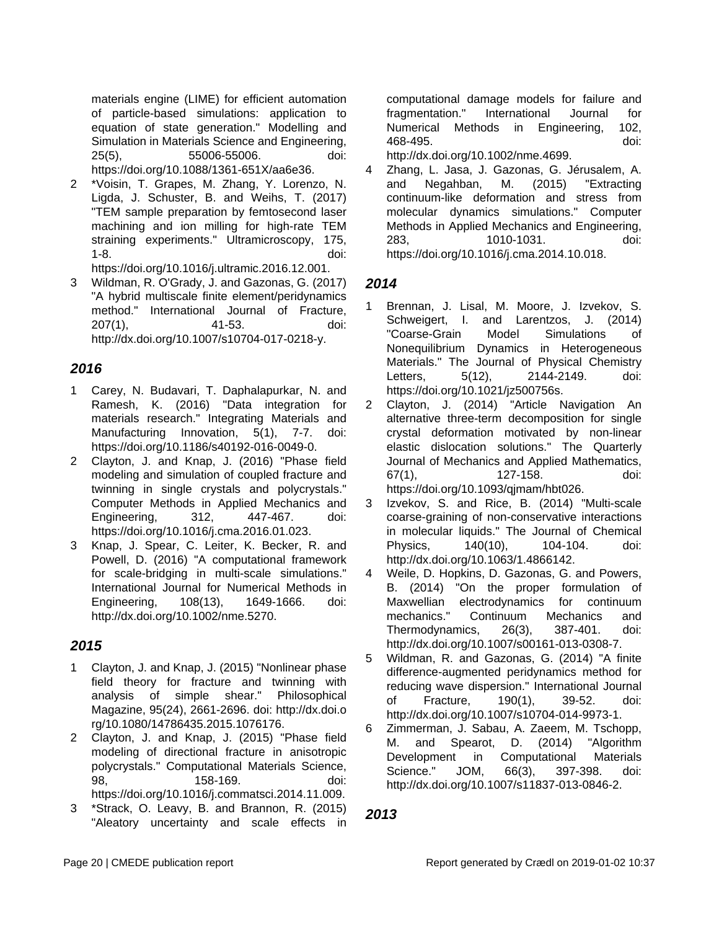materials engine (LIME) for efficient automation of particle-based simulations: application to equation of state generation." Modelling and Simulation in Materials Science and Engineering, 25(5), 55006-55006. doi: https://doi.org/10.1088/1361-651X/aa6e36.

2 \*Voisin, T. Grapes, M. Zhang, Y. Lorenzo, N. Ligda, J. Schuster, B. and Weihs, T. (2017) "TEM sample preparation by femtosecond laser machining and ion milling for high-rate TEM straining experiments." Ultramicroscopy, 175, 1-8. doi:

https://doi.org/10.1016/j.ultramic.2016.12.001.

3 Wildman, R. O'Grady, J. and Gazonas, G. (2017) "A hybrid multiscale finite element/peridynamics method." International Journal of Fracture, 207(1), 41-53. doi: http://dx.doi.org/10.1007/s10704-017-0218-y.

#### **2016**

- 1 Carey, N. Budavari, T. Daphalapurkar, N. and Ramesh, K. (2016) "Data integration for materials research." Integrating Materials and Manufacturing Innovation, 5(1), 7-7. doi: https://doi.org/10.1186/s40192-016-0049-0.
- 2 Clayton, J. and Knap, J. (2016) "Phase field modeling and simulation of coupled fracture and twinning in single crystals and polycrystals." Computer Methods in Applied Mechanics and Engineering, 312, 447-467. doi: https://doi.org/10.1016/j.cma.2016.01.023.
- 3 Knap, J. Spear, C. Leiter, K. Becker, R. and Powell, D. (2016) "A computational framework for scale-bridging in multi-scale simulations." International Journal for Numerical Methods in Engineering, 108(13), 1649-1666. doi: http://dx.doi.org/10.1002/nme.5270.

#### **2015**

- 1 Clayton, J. and Knap, J. (2015) "Nonlinear phase field theory for fracture and twinning with analysis of simple shear." Philosophical Magazine, 95(24), 2661-2696. doi: http://dx.doi.o rg/10.1080/14786435.2015.1076176.
- 2 Clayton, J. and Knap, J. (2015) "Phase field modeling of directional fracture in anisotropic polycrystals." Computational Materials Science, 98, 158-169. doi: https://doi.org/10.1016/j.commatsci.2014.11.009.
- 3 \*Strack, O. Leavy, B. and Brannon, R. (2015) "Aleatory uncertainty and scale effects in

computational damage models for failure and fragmentation." International Journal for Numerical Methods in Engineering, 102, 468-495. doi:

http://dx.doi.org/10.1002/nme.4699.

4 Zhang, L. Jasa, J. Gazonas, G. Jérusalem, A. and Negahban, M. (2015) "Extracting continuum-like deformation and stress from molecular dynamics simulations." Computer Methods in Applied Mechanics and Engineering, 283, 1010-1031. doi: https://doi.org/10.1016/j.cma.2014.10.018.

#### **2014**

- 1 Brennan, J. Lisal, M. Moore, J. Izvekov, S. Schweigert, I. and Larentzos, J. (2014) "Coarse-Grain Model Simulations of Nonequilibrium Dynamics in Heterogeneous Materials." The Journal of Physical Chemistry Letters. 5(12), 2144-2149. doi: https://doi.org/10.1021/jz500756s.
- 2 Clayton, J. (2014) "Article Navigation An alternative three-term decomposition for single crystal deformation motivated by non-linear elastic dislocation solutions." The Quarterly Journal of Mechanics and Applied Mathematics, 67(1), 127-158. doi: https://doi.org/10.1093/qjmam/hbt026.
- 3 Izvekov, S. and Rice, B. (2014) "Multi-scale coarse-graining of non-conservative interactions in molecular liquids." The Journal of Chemical Physics. 140(10). 104-104. doi: http://dx.doi.org/10.1063/1.4866142.
- 4 Weile, D. Hopkins, D. Gazonas, G. and Powers, B. (2014) "On the proper formulation of Maxwellian electrodynamics for continuum mechanics." Continuum Mechanics and Thermodynamics, 26(3), 387-401. doi: http://dx.doi.org/10.1007/s00161-013-0308-7.
- 5 Wildman, R. and Gazonas, G. (2014) "A finite difference-augmented peridynamics method for reducing wave dispersion." International Journal of Fracture, 190(1), 39-52. doi: http://dx.doi.org/10.1007/s10704-014-9973-1.
- 6 Zimmerman, J. Sabau, A. Zaeem, M. Tschopp, M. and Spearot, D. (2014) "Algorithm Development in Computational Materials Science." JOM, 66(3), 397-398. doi: http://dx.doi.org/10.1007/s11837-013-0846-2.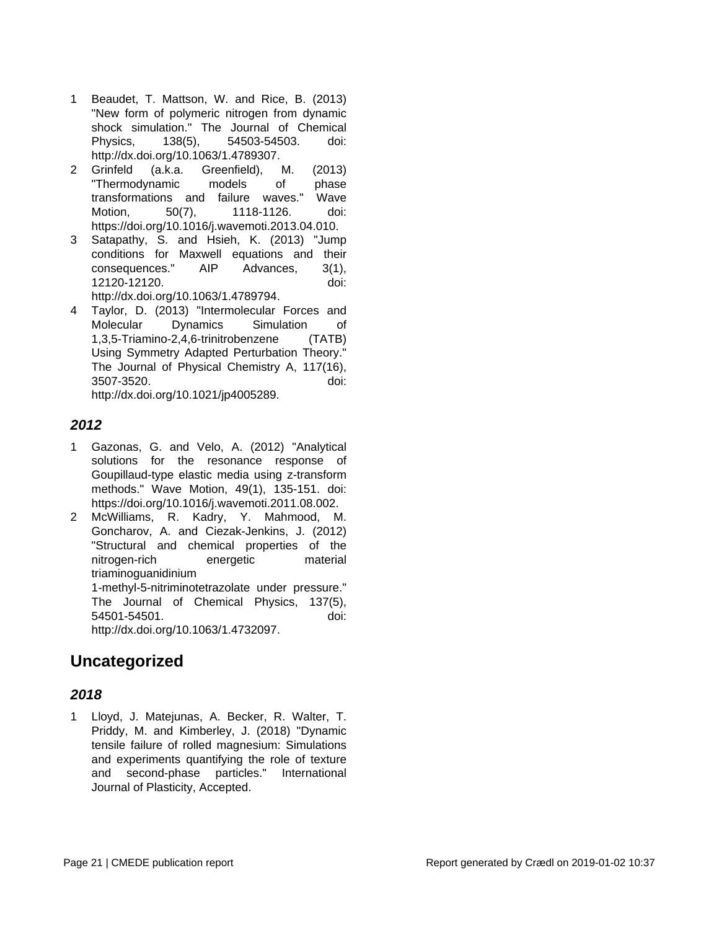- 1 Beaudet, T. Mattson, W. and Rice, B. (2013) "New form of polymeric nitrogen from dynamic shock simulation." The Journal of Chemical Physics, 138(5), 54503-54503. doi: http://dx.doi.org/10.1063/1.4789307.
- 2 Grinfeld (a.k.a. Greenfield), M. (2013) "Thermodynamic models of phase transformations and failure waves." Wave Motion, 50(7), 1118-1126. doi: https://doi.org/10.1016/j.wavemoti.2013.04.010.
- 3 Satapathy, S. and Hsieh, K. (2013) "Jump conditions for Maxwell equations and their consequences." AIP Advances, 3(1), 12120-12120. doi: http://dx.doi.org/10.1063/1.4789794.
- 4 Taylor, D. (2013) "Intermolecular Forces and Molecular Dynamics Simulation of 1,3,5-Triamino-2,4,6-trinitrobenzene (TATB) Using Symmetry Adapted Perturbation Theory." The Journal of Physical Chemistry A, 117(16), 3507-3520. doi: http://dx.doi.org/10.1021/jp4005289.

#### **2012**

- 1 Gazonas, G. and Velo, A. (2012) "Analytical solutions for the resonance response of Goupillaud-type elastic media using z-transform methods." Wave Motion, 49(1), 135-151. doi: https://doi.org/10.1016/j.wavemoti.2011.08.002.
- 2 McWilliams, R. Kadry, Y. Mahmood, M. Goncharov, A. and Ciezak-Jenkins, J. (2012) "Structural and chemical properties of the nitrogen-rich energetic material triaminoguanidinium 1-methyl-5-nitriminotetrazolate under pressure." The Journal of Chemical Physics, 137(5),

54501-54501. doi: http://dx.doi.org/10.1063/1.4732097.

### **Uncategorized**

#### **2018**

1 Lloyd, J. Matejunas, A. Becker, R. Walter, T. Priddy, M. and Kimberley, J. (2018) "Dynamic tensile failure of rolled magnesium: Simulations and experiments quantifying the role of texture and second-phase particles." International Journal of Plasticity, Accepted.